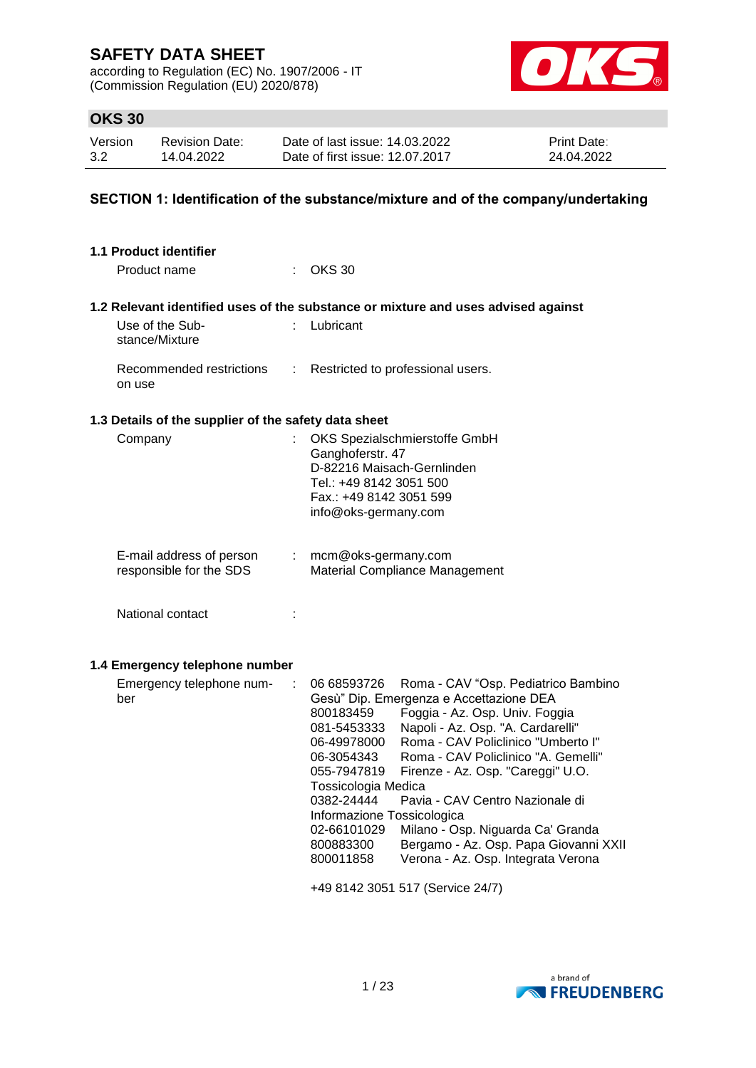according to Regulation (EC) No. 1907/2006 - IT (Commission Regulation (EU) 2020/878)



## **OKS 30**

| Version | <b>Revision Date:</b> | Date of last issue: 14.03.2022  | <b>Print Date:</b> |
|---------|-----------------------|---------------------------------|--------------------|
| 3.2     | 14.04.2022            | Date of first issue: 12.07.2017 | 24.04.2022         |

### **SECTION 1: Identification of the substance/mixture and of the company/undertaking**

| <b>1.1 Product identifier</b>                        |                      |                                                                                                                                                                                                                                                                                                                                                                                                                                                                                                                                                                                                                                   |
|------------------------------------------------------|----------------------|-----------------------------------------------------------------------------------------------------------------------------------------------------------------------------------------------------------------------------------------------------------------------------------------------------------------------------------------------------------------------------------------------------------------------------------------------------------------------------------------------------------------------------------------------------------------------------------------------------------------------------------|
| Product name                                         |                      | <b>OKS 30</b>                                                                                                                                                                                                                                                                                                                                                                                                                                                                                                                                                                                                                     |
|                                                      |                      | 1.2 Relevant identified uses of the substance or mixture and uses advised against                                                                                                                                                                                                                                                                                                                                                                                                                                                                                                                                                 |
| Use of the Sub-<br>stance/Mixture                    |                      | Lubricant                                                                                                                                                                                                                                                                                                                                                                                                                                                                                                                                                                                                                         |
| Recommended restrictions<br>on use                   | ÷                    | Restricted to professional users.                                                                                                                                                                                                                                                                                                                                                                                                                                                                                                                                                                                                 |
| 1.3 Details of the supplier of the safety data sheet |                      |                                                                                                                                                                                                                                                                                                                                                                                                                                                                                                                                                                                                                                   |
| Company                                              |                      | OKS Spezialschmierstoffe GmbH<br>Ganghoferstr. 47<br>D-82216 Maisach-Gernlinden<br>Tel.: +49 8142 3051 500<br>Fax.: +49 8142 3051 599<br>info@oks-germany.com                                                                                                                                                                                                                                                                                                                                                                                                                                                                     |
| E-mail address of person<br>responsible for the SDS  | t.                   | mcm@oks-germany.com<br>Material Compliance Management                                                                                                                                                                                                                                                                                                                                                                                                                                                                                                                                                                             |
| National contact                                     |                      |                                                                                                                                                                                                                                                                                                                                                                                                                                                                                                                                                                                                                                   |
| 1.4 Emergency telephone number                       |                      |                                                                                                                                                                                                                                                                                                                                                                                                                                                                                                                                                                                                                                   |
| Emergency telephone num-<br>ber                      | $\ddot{\phantom{a}}$ | 06 68593726<br>Roma - CAV "Osp. Pediatrico Bambino<br>Gesù" Dip. Emergenza e Accettazione DEA<br>Foggia - Az. Osp. Univ. Foggia<br>800183459<br>Napoli - Az. Osp. "A. Cardarelli"<br>081-5453333<br>Roma - CAV Policlinico "Umberto I"<br>06-49978000<br>Roma - CAV Policlinico "A. Gemelli"<br>06-3054343<br>055-7947819<br>Firenze - Az. Osp. "Careggi" U.O.<br>Tossicologia Medica<br>0382-24444<br>Pavia - CAV Centro Nazionale di<br>Informazione Tossicologica<br>Milano - Osp. Niguarda Ca' Granda<br>02-66101029<br>800883300<br>Bergamo - Az. Osp. Papa Giovanni XXII<br>Verona - Az. Osp. Integrata Verona<br>800011858 |
|                                                      |                      | +49 8142 3051 517 (Service 24/7)                                                                                                                                                                                                                                                                                                                                                                                                                                                                                                                                                                                                  |

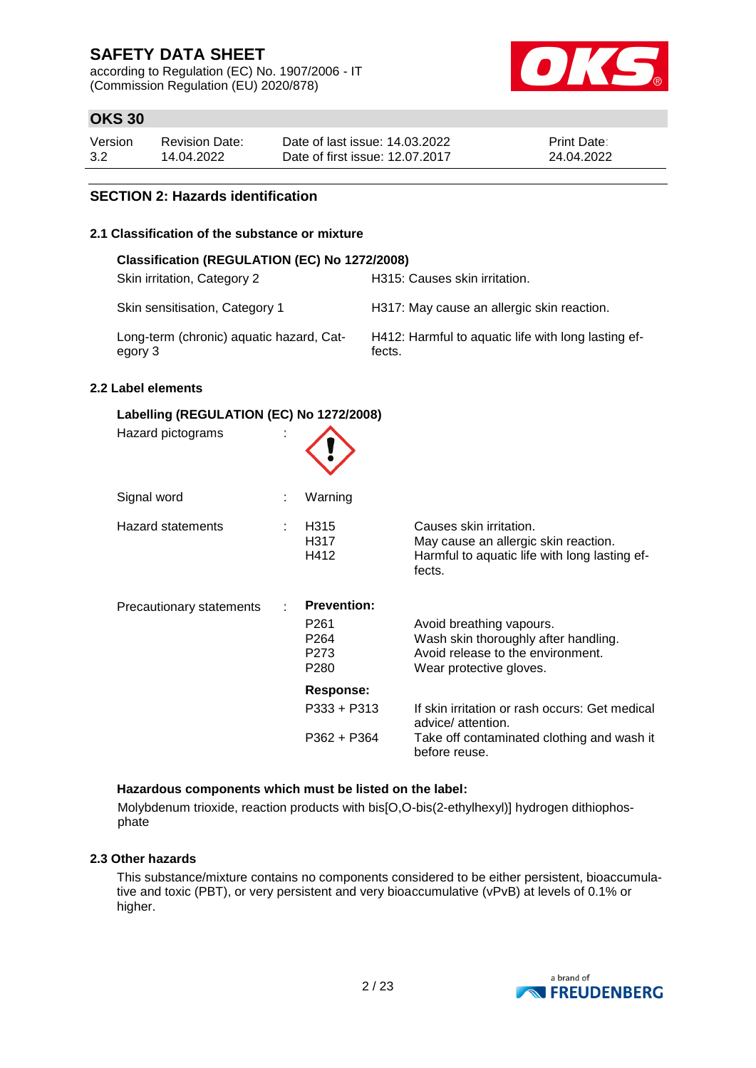according to Regulation (EC) No. 1907/2006 - IT (Commission Regulation (EU) 2020/878)



## **OKS 30**

| Version | Revision Date: | Date of last issue: 14.03.2022  | <b>Print Date:</b> |
|---------|----------------|---------------------------------|--------------------|
| 3.2     | 14.04.2022     | Date of first issue: 12.07.2017 | 24.04.2022         |

### **SECTION 2: Hazards identification**

### **2.1 Classification of the substance or mixture**

| Classification (REGULATION (EC) No 1272/2008)       |                                                               |
|-----------------------------------------------------|---------------------------------------------------------------|
| Skin irritation, Category 2                         | H315: Causes skin irritation.                                 |
| Skin sensitisation, Category 1                      | H317: May cause an allergic skin reaction.                    |
| Long-term (chronic) aquatic hazard, Cat-<br>egory 3 | H412: Harmful to aquatic life with long lasting ef-<br>fects. |

### **2.2 Label elements**

| Labelling (REGULATION (EC) No 1272/2008) |                                                                            |                                                                                                                                  |  |  |  |
|------------------------------------------|----------------------------------------------------------------------------|----------------------------------------------------------------------------------------------------------------------------------|--|--|--|
| Hazard pictograms                        |                                                                            |                                                                                                                                  |  |  |  |
| Signal word                              | Warning                                                                    |                                                                                                                                  |  |  |  |
| Hazard statements                        | H <sub>315</sub><br>H317<br>H412                                           | Causes skin irritation.<br>May cause an allergic skin reaction.<br>Harmful to aquatic life with long lasting ef-<br>fects.       |  |  |  |
| Precautionary statements                 | <b>Prevention:</b><br>P <sub>261</sub><br>P264<br>P273<br>P <sub>280</sub> | Avoid breathing vapours.<br>Wash skin thoroughly after handling.<br>Avoid release to the environment.<br>Wear protective gloves. |  |  |  |
|                                          | <b>Response:</b>                                                           |                                                                                                                                  |  |  |  |
|                                          | P333 + P313                                                                | If skin irritation or rash occurs: Get medical<br>advice/ attention.                                                             |  |  |  |
|                                          | P362 + P364                                                                | Take off contaminated clothing and wash it<br>before reuse.                                                                      |  |  |  |

## **Hazardous components which must be listed on the label:**

Molybdenum trioxide, reaction products with bis[O,O-bis(2-ethylhexyl)] hydrogen dithiophosphate

### **2.3 Other hazards**

This substance/mixture contains no components considered to be either persistent, bioaccumulative and toxic (PBT), or very persistent and very bioaccumulative (vPvB) at levels of 0.1% or higher.

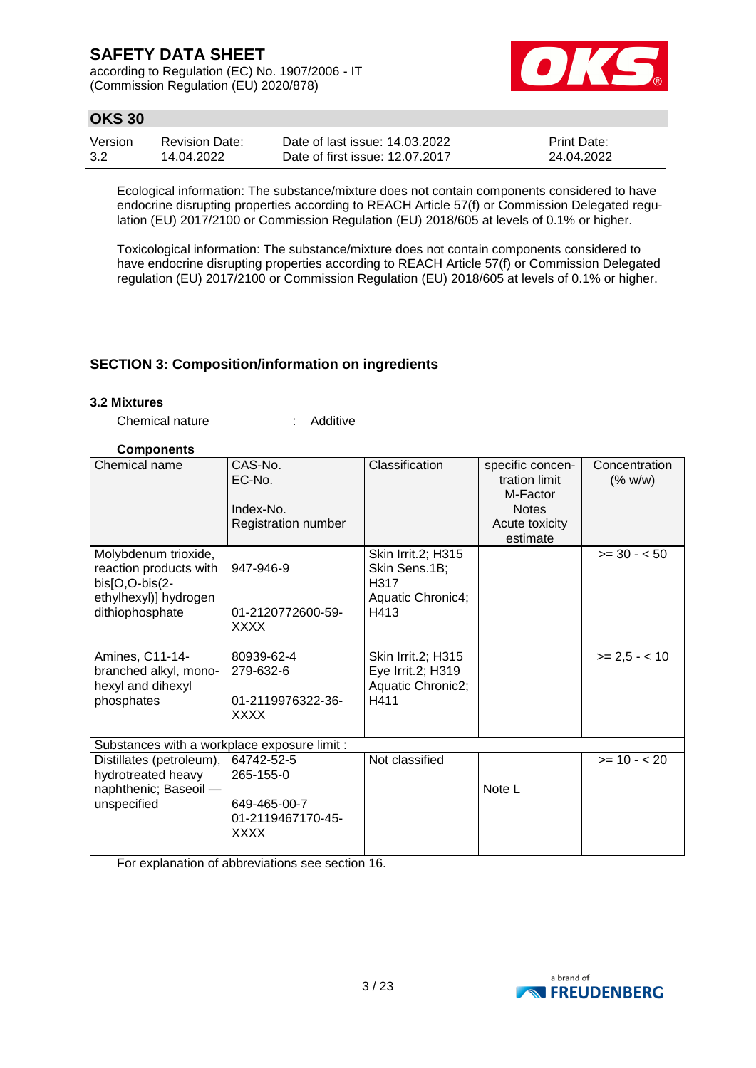according to Regulation (EC) No. 1907/2006 - IT (Commission Regulation (EU) 2020/878)



## **OKS 30**

| Version | Revision Date: | Date of last issue: 14.03.2022  | <b>Print Date:</b> |
|---------|----------------|---------------------------------|--------------------|
| 3.2     | 14.04.2022     | Date of first issue: 12.07.2017 | 24.04.2022         |

Ecological information: The substance/mixture does not contain components considered to have endocrine disrupting properties according to REACH Article 57(f) or Commission Delegated regulation (EU) 2017/2100 or Commission Regulation (EU) 2018/605 at levels of 0.1% or higher.

Toxicological information: The substance/mixture does not contain components considered to have endocrine disrupting properties according to REACH Article 57(f) or Commission Delegated regulation (EU) 2017/2100 or Commission Regulation (EU) 2018/605 at levels of 0.1% or higher.

## **SECTION 3: Composition/information on ingredients**

### **3.2 Mixtures**

Chemical nature : Additive

### **Components**

| Chemical name                                                                             | CAS-No.<br>EC-No.                         | Classification                                                   | specific concen-<br>tration limit<br>M-Factor | Concentration<br>(% w/w) |
|-------------------------------------------------------------------------------------------|-------------------------------------------|------------------------------------------------------------------|-----------------------------------------------|--------------------------|
|                                                                                           | Index-No.                                 |                                                                  | <b>Notes</b>                                  |                          |
|                                                                                           | Registration number                       |                                                                  | Acute toxicity                                |                          |
|                                                                                           |                                           |                                                                  | estimate                                      |                          |
| Molybdenum trioxide,<br>reaction products with<br>bis[O,O-bis(2-<br>ethylhexyl)] hydrogen | 947-946-9                                 | Skin Irrit.2; H315<br>Skin Sens.1B;<br>H317<br>Aquatic Chronic4; |                                               | $>= 30 - 50$             |
| dithiophosphate                                                                           | 01-2120772600-59-<br><b>XXXX</b>          | H413                                                             |                                               |                          |
| Amines, C11-14-<br>branched alkyl, mono-<br>hexyl and dihexyl                             | 80939-62-4<br>279-632-6                   | Skin Irrit.2; H315<br>Eye Irrit.2; H319                          |                                               | $>= 2.5 - < 10$          |
| phosphates                                                                                | 01-2119976322-36-                         | Aquatic Chronic2;<br>H411                                        |                                               |                          |
|                                                                                           | <b>XXXX</b>                               |                                                                  |                                               |                          |
| Substances with a workplace exposure limit :                                              |                                           |                                                                  |                                               |                          |
| Distillates (petroleum),<br>hydrotreated heavy                                            | 64742-52-5<br>265-155-0                   | Not classified                                                   |                                               | $>= 10 - 20$             |
| naphthenic; Baseoil -                                                                     |                                           |                                                                  | Note L                                        |                          |
| unspecified                                                                               | 649-465-00-7<br>01-2119467170-45-<br>XXXX |                                                                  |                                               |                          |

For explanation of abbreviations see section 16.

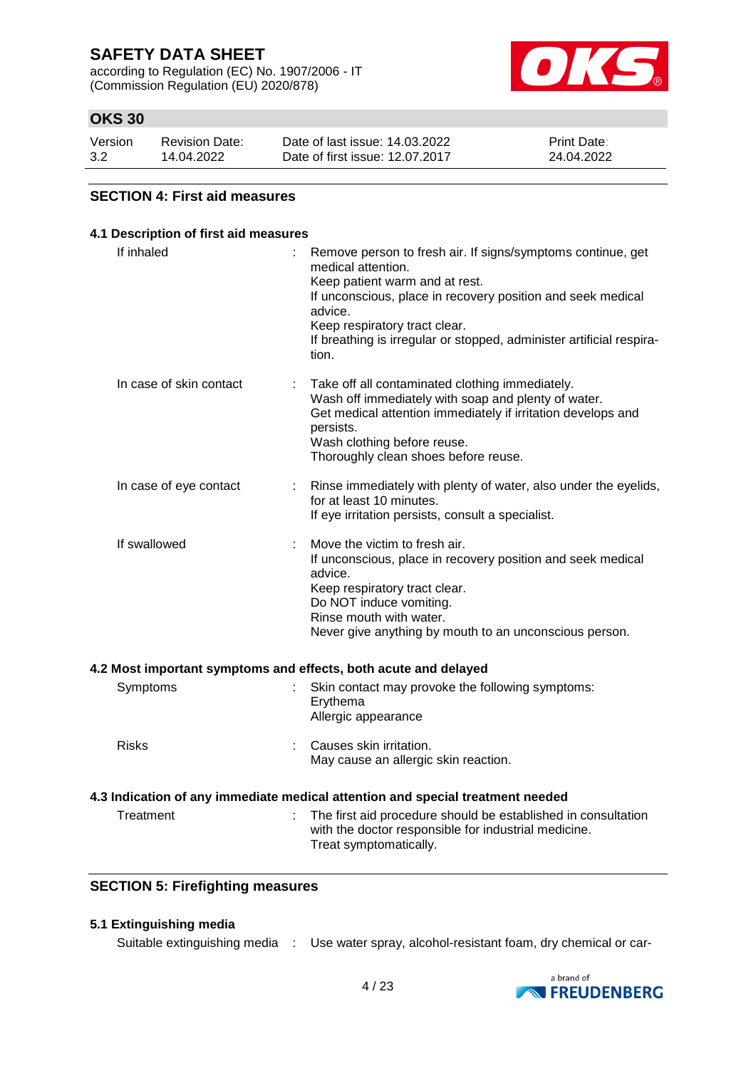according to Regulation (EC) No. 1907/2006 - IT (Commission Regulation (EU) 2020/878)



## **OKS 30**

| Version | <b>Revision Date:</b> | Date of last issue: 14.03.2022  | <b>Print Date:</b> |
|---------|-----------------------|---------------------------------|--------------------|
| 3.2     | 14.04.2022            | Date of first issue: 12.07.2017 | 24.04.2022         |

### **SECTION 4: First aid measures**

| 4.1 Description of first aid measures                           |                                                                                                                                                                                                                                                                                                                 |
|-----------------------------------------------------------------|-----------------------------------------------------------------------------------------------------------------------------------------------------------------------------------------------------------------------------------------------------------------------------------------------------------------|
| If inhaled                                                      | Remove person to fresh air. If signs/symptoms continue, get<br>medical attention.<br>Keep patient warm and at rest.<br>If unconscious, place in recovery position and seek medical<br>advice.<br>Keep respiratory tract clear.<br>If breathing is irregular or stopped, administer artificial respira-<br>tion. |
| In case of skin contact                                         | Take off all contaminated clothing immediately.<br>Wash off immediately with soap and plenty of water.<br>Get medical attention immediately if irritation develops and<br>persists.<br>Wash clothing before reuse.<br>Thoroughly clean shoes before reuse.                                                      |
| In case of eye contact                                          | Rinse immediately with plenty of water, also under the eyelids,<br>for at least 10 minutes.<br>If eye irritation persists, consult a specialist.                                                                                                                                                                |
| If swallowed                                                    | Move the victim to fresh air.<br>If unconscious, place in recovery position and seek medical<br>advice.<br>Keep respiratory tract clear.<br>Do NOT induce vomiting.<br>Rinse mouth with water.<br>Never give anything by mouth to an unconscious person.                                                        |
| 4.2 Most important symptoms and effects, both acute and delayed |                                                                                                                                                                                                                                                                                                                 |
| Symptoms                                                        | Skin contact may provoke the following symptoms:<br>Erythema<br>Allergic appearance                                                                                                                                                                                                                             |
| <b>Risks</b>                                                    | Causes skin irritation.<br>May cause an allergic skin reaction.                                                                                                                                                                                                                                                 |
|                                                                 | 4.3 Indication of any immediate medical attention and special treatment needed                                                                                                                                                                                                                                  |
| Treatment                                                       | The first aid procedure should be established in consultation<br>with the doctor responsible for industrial medicine.<br>Treat symptomatically.                                                                                                                                                                 |

## **SECTION 5: Firefighting measures**

### **5.1 Extinguishing media**

Suitable extinguishing media : Use water spray, alcohol-resistant foam, dry chemical or car-

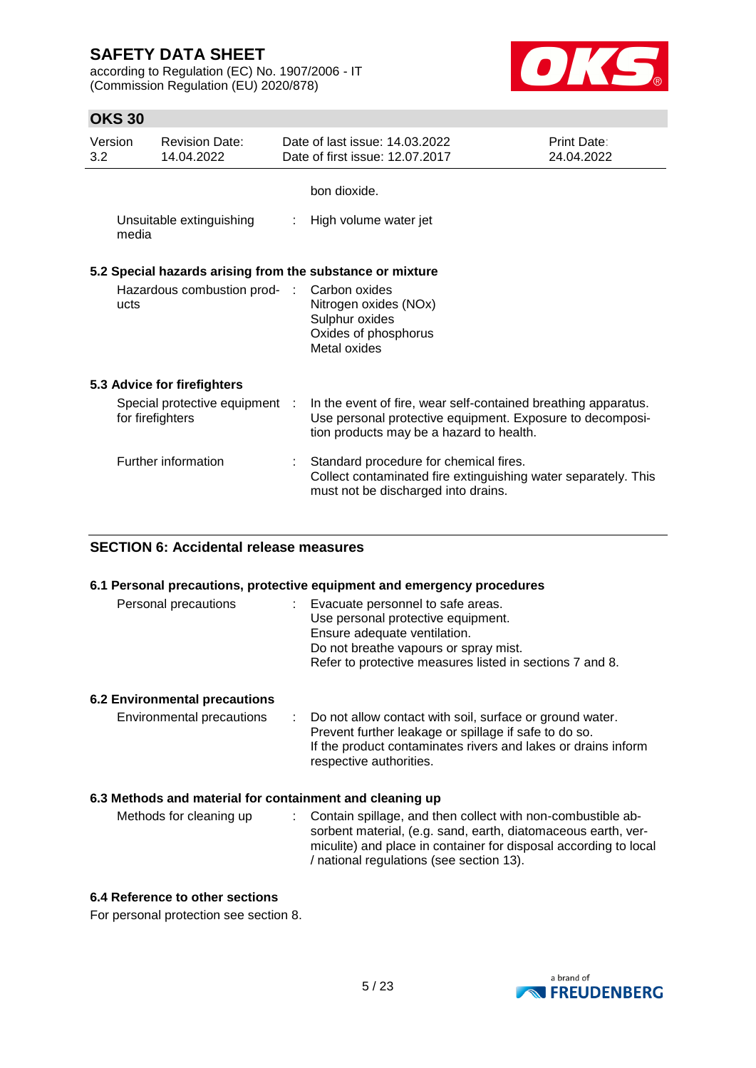according to Regulation (EC) No. 1907/2006 - IT (Commission Regulation (EU) 2020/878)



## **OKS 30**

| Version<br>3.2 | <b>Revision Date:</b><br>14.04.2022                       | Date of last issue: 14.03.2022<br>Date of first issue: 12.07.2017                                                                                                       | Print Date:<br>24.04.2022 |
|----------------|-----------------------------------------------------------|-------------------------------------------------------------------------------------------------------------------------------------------------------------------------|---------------------------|
|                |                                                           | bon dioxide.                                                                                                                                                            |                           |
| media          | Unsuitable extinguishing                                  | High volume water jet                                                                                                                                                   |                           |
|                | 5.2 Special hazards arising from the substance or mixture |                                                                                                                                                                         |                           |
| ucts           | Hazardous combustion prod- :                              | Carbon oxides<br>Nitrogen oxides (NOx)<br>Sulphur oxides<br>Oxides of phosphorus<br>Metal oxides                                                                        |                           |
|                | 5.3 Advice for firefighters                               |                                                                                                                                                                         |                           |
|                | Special protective equipment :<br>for firefighters        | In the event of fire, wear self-contained breathing apparatus.<br>Use personal protective equipment. Exposure to decomposi-<br>tion products may be a hazard to health. |                           |
|                | Further information                                       | : Standard procedure for chemical fires.<br>Collect contaminated fire extinguishing water separately. This<br>must not be discharged into drains.                       |                           |

### **SECTION 6: Accidental release measures**

### **6.1 Personal precautions, protective equipment and emergency procedures**

| Personal precautions | : Evacuate personnel to safe areas.<br>Use personal protective equipment.<br>Ensure adequate ventilation.<br>Do not breathe vapours or spray mist.<br>Refer to protective measures listed in sections 7 and 8. |
|----------------------|----------------------------------------------------------------------------------------------------------------------------------------------------------------------------------------------------------------|
|----------------------|----------------------------------------------------------------------------------------------------------------------------------------------------------------------------------------------------------------|

### **6.2 Environmental precautions**

| Environmental precautions | : Do not allow contact with soil, surface or ground water.    |
|---------------------------|---------------------------------------------------------------|
|                           | Prevent further leakage or spillage if safe to do so.         |
|                           | If the product contaminates rivers and lakes or drains inform |
|                           | respective authorities.                                       |

### **6.3 Methods and material for containment and cleaning up**

| Methods for cleaning up | : Contain spillage, and then collect with non-combustible ab-    |
|-------------------------|------------------------------------------------------------------|
|                         | sorbent material, (e.g. sand, earth, diatomaceous earth, ver-    |
|                         | miculite) and place in container for disposal according to local |
|                         | / national regulations (see section 13).                         |

## **6.4 Reference to other sections**

For personal protection see section 8.

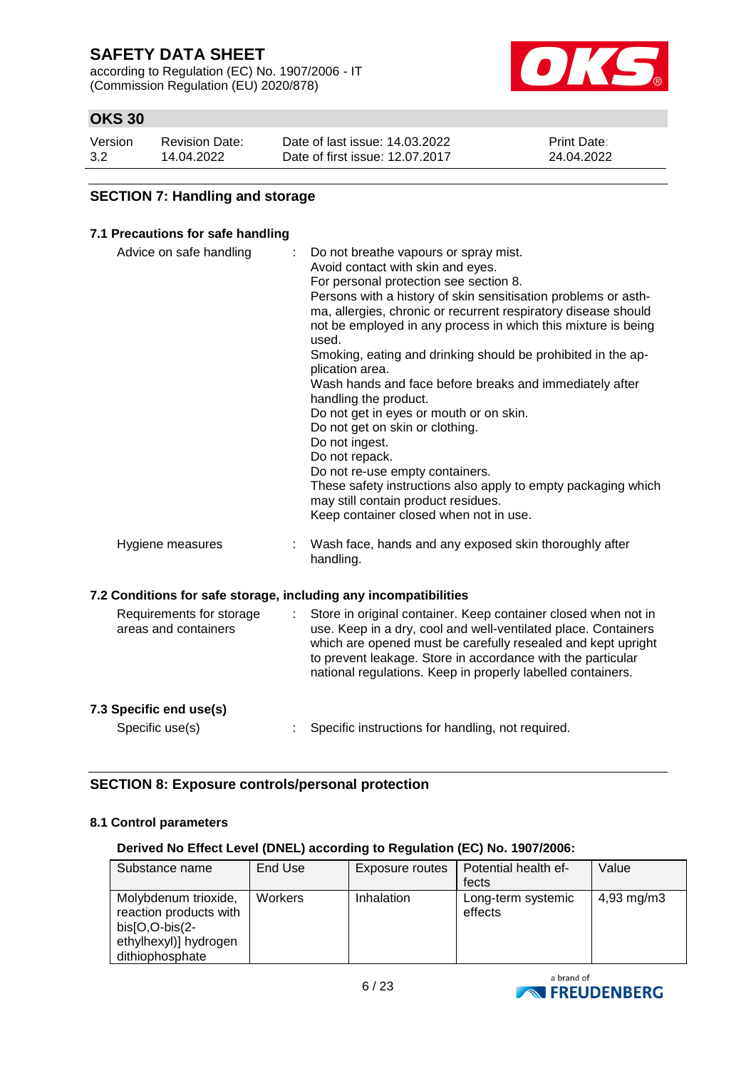according to Regulation (EC) No. 1907/2006 - IT (Commission Regulation (EU) 2020/878)



## **OKS 30**

| Version | <b>Revision Date:</b> | Date of last issue: 14.03.2022  | <b>Print Date:</b> |
|---------|-----------------------|---------------------------------|--------------------|
| 3.2     | 14.04.2022            | Date of first issue: 12.07.2017 | 24.04.2022         |

### **SECTION 7: Handling and storage**

### **7.1 Precautions for safe handling**

| Advice on safe handling                                          |   | Do not breathe vapours or spray mist.<br>Avoid contact with skin and eyes.<br>For personal protection see section 8.<br>Persons with a history of skin sensitisation problems or asth-<br>ma, allergies, chronic or recurrent respiratory disease should<br>not be employed in any process in which this mixture is being<br>used.<br>Smoking, eating and drinking should be prohibited in the ap-<br>plication area.<br>Wash hands and face before breaks and immediately after<br>handling the product.<br>Do not get in eyes or mouth or on skin.<br>Do not get on skin or clothing.<br>Do not ingest.<br>Do not repack.<br>Do not re-use empty containers.<br>These safety instructions also apply to empty packaging which<br>may still contain product residues.<br>Keep container closed when not in use. |
|------------------------------------------------------------------|---|------------------------------------------------------------------------------------------------------------------------------------------------------------------------------------------------------------------------------------------------------------------------------------------------------------------------------------------------------------------------------------------------------------------------------------------------------------------------------------------------------------------------------------------------------------------------------------------------------------------------------------------------------------------------------------------------------------------------------------------------------------------------------------------------------------------|
| Hygiene measures                                                 |   | Wash face, hands and any exposed skin thoroughly after<br>handling.                                                                                                                                                                                                                                                                                                                                                                                                                                                                                                                                                                                                                                                                                                                                              |
| 7.2 Conditions for safe storage, including any incompatibilities |   |                                                                                                                                                                                                                                                                                                                                                                                                                                                                                                                                                                                                                                                                                                                                                                                                                  |
| Requirements for storage<br>areas and containers                 | ÷ | Store in original container. Keep container closed when not in<br>use. Keep in a dry, cool and well-ventilated place. Containers<br>which are opened must be carefully resealed and kept upright<br>to prevent leakage. Store in accordance with the particular<br>national regulations. Keep in properly labelled containers.                                                                                                                                                                                                                                                                                                                                                                                                                                                                                   |

### **7.3 Specific end use(s)**

Specific use(s) : Specific instructions for handling, not required.

## **SECTION 8: Exposure controls/personal protection**

### **8.1 Control parameters**

### **Derived No Effect Level (DNEL) according to Regulation (EC) No. 1907/2006:**

| Substance name                                                                                                 | End Use | Exposure routes | Potential health ef-          | Value                  |
|----------------------------------------------------------------------------------------------------------------|---------|-----------------|-------------------------------|------------------------|
|                                                                                                                |         |                 | fects                         |                        |
| Molybdenum trioxide,<br>reaction products with<br>$bis[O,O-bis(2-$<br>ethylhexyl)] hydrogen<br>dithiophosphate | Workers | Inhalation      | Long-term systemic<br>effects | $4,93 \, \text{mg/m3}$ |

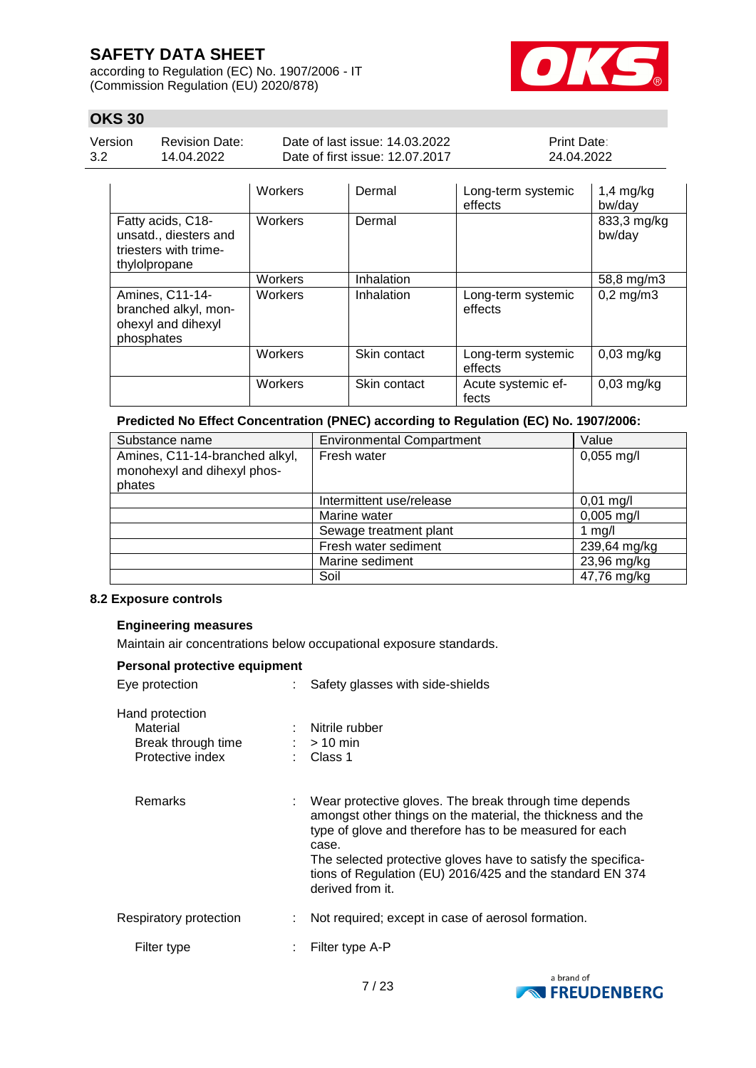according to Regulation (EC) No. 1907/2006 - IT (Commission Regulation (EU) 2020/878)



## **OKS 30**

| Version |  |
|---------|--|
| 3.2     |  |

Revision Date: 14.04.2022

Date of last issue: 14.03.2022 Date of first issue: 12.07.2017 Print Date: 24.04.2022

|                                                                                      | <b>Workers</b> | Dermal       | Long-term systemic<br>effects | $1,4$ mg/kg<br>bw/day |
|--------------------------------------------------------------------------------------|----------------|--------------|-------------------------------|-----------------------|
| Fatty acids, C18-<br>unsatd., diesters and<br>triesters with trime-<br>thylolpropane | Workers        | Dermal       |                               | 833,3 mg/kg<br>bw/day |
|                                                                                      | Workers        | Inhalation   |                               | 58,8 mg/m3            |
| Amines, C11-14-<br>branched alkyl, mon-<br>ohexyl and dihexyl<br>phosphates          | Workers        | Inhalation   | Long-term systemic<br>effects | $0,2$ mg/m $3$        |
|                                                                                      | Workers        | Skin contact | Long-term systemic<br>effects | $0,03$ mg/kg          |
|                                                                                      | Workers        | Skin contact | Acute systemic ef-<br>fects   | $0,03$ mg/kg          |

### **Predicted No Effect Concentration (PNEC) according to Regulation (EC) No. 1907/2006:**

| Substance name                                                          | <b>Environmental Compartment</b> | Value                |
|-------------------------------------------------------------------------|----------------------------------|----------------------|
| Amines, C11-14-branched alkyl,<br>monohexyl and dihexyl phos-<br>phates | Fresh water                      | $0,055 \text{ mg/l}$ |
|                                                                         | Intermittent use/release         | $0,01$ mg/l          |
|                                                                         | Marine water                     | $0,005$ mg/l         |
|                                                                         | Sewage treatment plant           | 1 $mg/l$             |
|                                                                         | Fresh water sediment             | 239,64 mg/kg         |
|                                                                         | Marine sediment                  | 23,96 mg/kg          |
|                                                                         | Soil                             | 47,76 mg/kg          |

### **8.2 Exposure controls**

### **Engineering measures**

Maintain air concentrations below occupational exposure standards.

### **Personal protective equipment**

| Eye protection                                                        |  | : Safety glasses with side-shields                                                                                                                                                                                                                                                                                                            |  |
|-----------------------------------------------------------------------|--|-----------------------------------------------------------------------------------------------------------------------------------------------------------------------------------------------------------------------------------------------------------------------------------------------------------------------------------------------|--|
| Hand protection<br>Material<br>Break through time<br>Protective index |  | : Nitrile rubber<br>$:$ > 10 min<br>: Class 1                                                                                                                                                                                                                                                                                                 |  |
| Remarks                                                               |  | : Wear protective gloves. The break through time depends<br>amongst other things on the material, the thickness and the<br>type of glove and therefore has to be measured for each<br>case.<br>The selected protective gloves have to satisfy the specifica-<br>tions of Regulation (EU) 2016/425 and the standard EN 374<br>derived from it. |  |
| Respiratory protection                                                |  | Not required; except in case of aerosol formation.                                                                                                                                                                                                                                                                                            |  |
| Filter type                                                           |  | Filter type A-P                                                                                                                                                                                                                                                                                                                               |  |

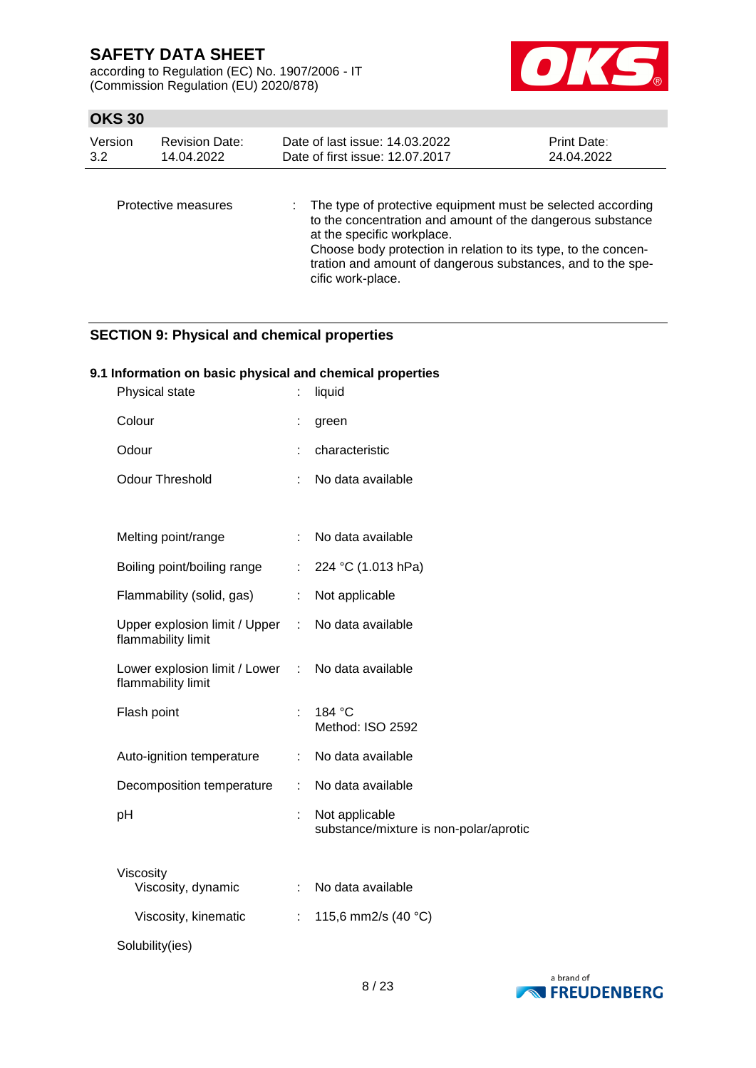according to Regulation (EC) No. 1907/2006 - IT (Commission Regulation (EU) 2020/878)



## **OKS 30**

| Version<br><b>Revision Date:</b><br>3.2<br>14.04.2022 |                     | Date of last issue: 14.03.2022<br>Date of first issue: 12.07.2017                                                                                              | Print Date:<br>24.04.2022 |
|-------------------------------------------------------|---------------------|----------------------------------------------------------------------------------------------------------------------------------------------------------------|---------------------------|
|                                                       | Protective measures | : The type of protective equipment must be selected according<br>to the concentration and amount of the dangerous substance<br>at the specific workplace.<br>. |                           |

Choose body protection in relation to its type, to the concentration and amount of dangerous substances, and to the specific work-place.

## **SECTION 9: Physical and chemical properties**

### **9.1 Information on basic physical and chemical properties**

| Physical state                                        |                | liquid                                                   |
|-------------------------------------------------------|----------------|----------------------------------------------------------|
| Colour                                                | t              | green                                                    |
| Odour                                                 |                | characteristic                                           |
| <b>Odour Threshold</b>                                | ÷              | No data available                                        |
|                                                       |                |                                                          |
| Melting point/range                                   | ÷              | No data available                                        |
| Boiling point/boiling range                           | ÷              | 224 °C (1.013 hPa)                                       |
| Flammability (solid, gas)                             | ÷              | Not applicable                                           |
| Upper explosion limit / Upper :<br>flammability limit |                | No data available                                        |
| Lower explosion limit / Lower<br>flammability limit   | $\mathbb{R}^n$ | No data available                                        |
| Flash point                                           | t              | 184 °C<br>Method: ISO 2592                               |
| Auto-ignition temperature                             | t.             | No data available                                        |
| Decomposition temperature                             | ÷              | No data available                                        |
| pH                                                    | t.             | Not applicable<br>substance/mixture is non-polar/aprotic |
| Viscosity<br>Viscosity, dynamic                       | t.             | No data available                                        |
| Viscosity, kinematic                                  | ÷              | 115,6 mm2/s (40 °C)                                      |
| Solubility(ies)                                       |                |                                                          |

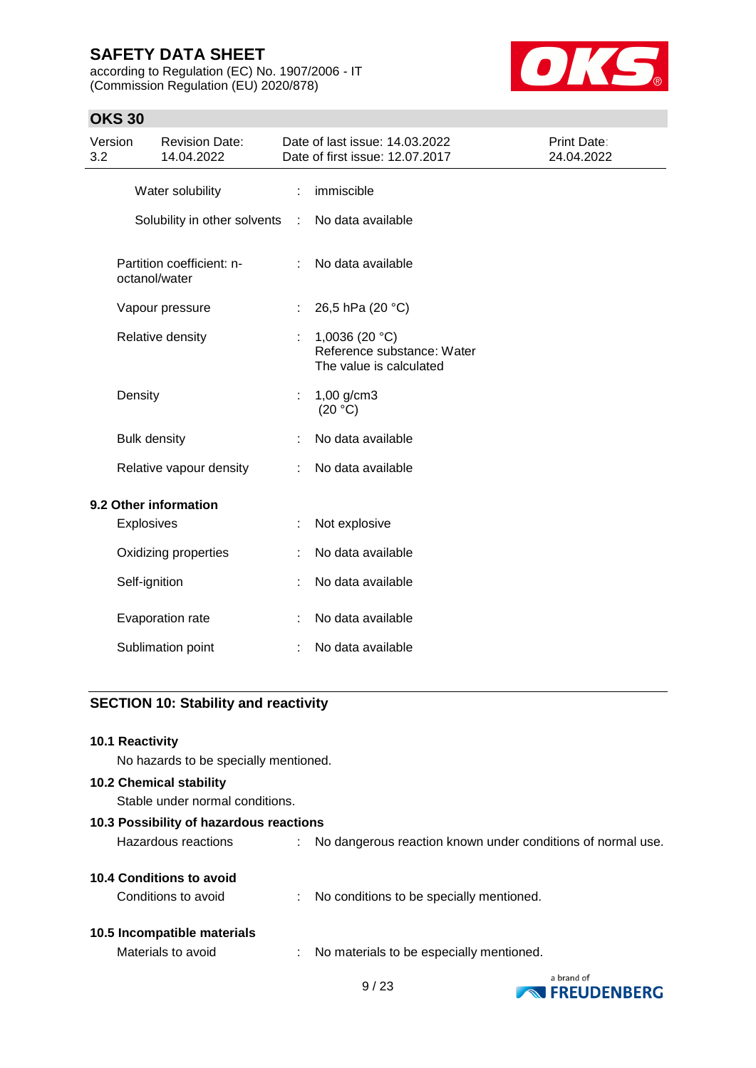according to Regulation (EC) No. 1907/2006 - IT (Commission Regulation (EU) 2020/878)



**EXPRESSION FREUDENBERG** 

## **OKS 30**

| Version<br>3.2 |                         | <b>Revision Date:</b><br>14.04.2022        |        | Date of last issue: 14.03.2022<br>Date of first issue: 12.07.2017          | <b>Print Date:</b><br>24.04.2022 |
|----------------|-------------------------|--------------------------------------------|--------|----------------------------------------------------------------------------|----------------------------------|
|                |                         | Water solubility                           | ÷      | immiscible                                                                 |                                  |
|                |                         | Solubility in other solvents               | $\sim$ | No data available                                                          |                                  |
|                |                         | Partition coefficient: n-<br>octanol/water |        | No data available                                                          |                                  |
|                |                         | Vapour pressure                            | ÷      | 26,5 hPa (20 °C)                                                           |                                  |
|                |                         | Relative density                           | ÷.     | 1,0036 (20 $°C$ )<br>Reference substance: Water<br>The value is calculated |                                  |
|                | Density                 |                                            | t.     | 1,00 g/cm3<br>(20 °C)                                                      |                                  |
|                | <b>Bulk density</b>     |                                            |        | No data available                                                          |                                  |
|                | Relative vapour density |                                            | ÷      | No data available                                                          |                                  |
|                |                         | 9.2 Other information                      |        |                                                                            |                                  |
|                | Explosives              |                                            |        | Not explosive                                                              |                                  |
|                |                         | Oxidizing properties                       |        | No data available                                                          |                                  |
|                | Self-ignition           |                                            |        | No data available                                                          |                                  |
|                |                         | Evaporation rate                           |        | No data available                                                          |                                  |
|                |                         | Sublimation point                          | ÷      | No data available                                                          |                                  |
|                |                         |                                            |        |                                                                            |                                  |

# **SECTION 10: Stability and reactivity**

| <b>10.1 Reactivity</b>                  |  |                                                             |            |  |  |  |
|-----------------------------------------|--|-------------------------------------------------------------|------------|--|--|--|
| No hazards to be specially mentioned.   |  |                                                             |            |  |  |  |
| <b>10.2 Chemical stability</b>          |  |                                                             |            |  |  |  |
| Stable under normal conditions.         |  |                                                             |            |  |  |  |
| 10.3 Possibility of hazardous reactions |  |                                                             |            |  |  |  |
| Hazardous reactions                     |  | No dangerous reaction known under conditions of normal use. |            |  |  |  |
| 10.4 Conditions to avoid                |  |                                                             |            |  |  |  |
| Conditions to avoid                     |  | : No conditions to be specially mentioned.                  |            |  |  |  |
| 10.5 Incompatible materials             |  |                                                             |            |  |  |  |
| Materials to avoid                      |  | : No materials to be especially mentioned.                  |            |  |  |  |
|                                         |  | $\sim$ 1 $\sim$                                             | a brand of |  |  |  |

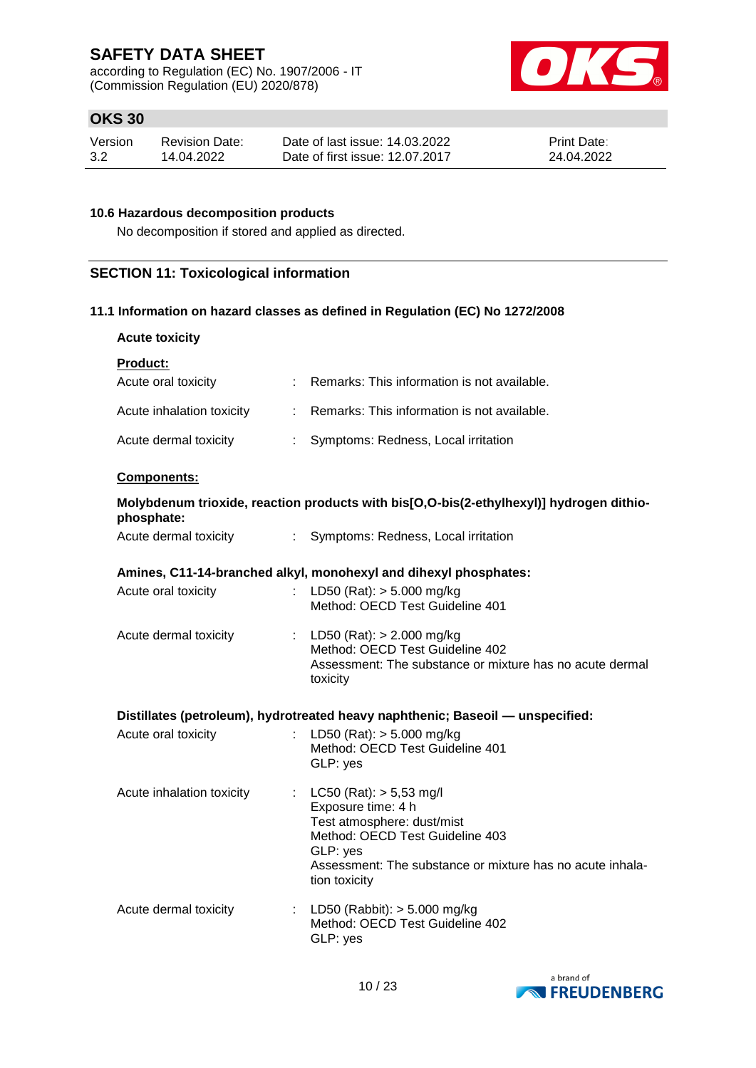according to Regulation (EC) No. 1907/2006 - IT (Commission Regulation (EU) 2020/878)



## **OKS 30**

| Version | Revision Date: | Date of last issue: 14.03.2022  | <b>Print Date:</b> |
|---------|----------------|---------------------------------|--------------------|
| 3.2     | 14.04.2022     | Date of first issue: 12.07.2017 | 24.04.2022         |

### **10.6 Hazardous decomposition products**

No decomposition if stored and applied as directed.

## **SECTION 11: Toxicological information**

### **11.1 Information on hazard classes as defined in Regulation (EC) No 1272/2008**

| <b>Acute toxicity</b>     |                             |                                                                                                                                                                                                            |
|---------------------------|-----------------------------|------------------------------------------------------------------------------------------------------------------------------------------------------------------------------------------------------------|
| Product:                  |                             |                                                                                                                                                                                                            |
| Acute oral toxicity       |                             | Remarks: This information is not available.                                                                                                                                                                |
| Acute inhalation toxicity | $\mathbb{R}^{\mathbb{Z}}$   | Remarks: This information is not available.                                                                                                                                                                |
| Acute dermal toxicity     | t.                          | Symptoms: Redness, Local irritation                                                                                                                                                                        |
| Components:               |                             |                                                                                                                                                                                                            |
| phosphate:                |                             | Molybdenum trioxide, reaction products with bis[O,O-bis(2-ethylhexyl)] hydrogen dithio-                                                                                                                    |
| Acute dermal toxicity     | $\mathcal{L}^{\mathcal{L}}$ | Symptoms: Redness, Local irritation                                                                                                                                                                        |
| Acute oral toxicity       | $\mathbb{R}^{\mathbb{Z}}$   | Amines, C11-14-branched alkyl, monohexyl and dihexyl phosphates:<br>LD50 (Rat): $> 5.000$ mg/kg<br>Method: OECD Test Guideline 401                                                                         |
| Acute dermal toxicity     |                             | : LD50 (Rat): $> 2.000$ mg/kg<br>Method: OECD Test Guideline 402<br>Assessment: The substance or mixture has no acute dermal<br>toxicity                                                                   |
|                           |                             | Distillates (petroleum), hydrotreated heavy naphthenic; Baseoil - unspecified:                                                                                                                             |
| Acute oral toxicity       |                             | LD50 (Rat): $> 5.000$ mg/kg<br>Method: OECD Test Guideline 401<br>GLP: yes                                                                                                                                 |
| Acute inhalation toxicity | $\mathbb{R}^n$              | LC50 (Rat): $> 5,53$ mg/l<br>Exposure time: 4 h<br>Test atmosphere: dust/mist<br>Method: OECD Test Guideline 403<br>GLP: yes<br>Assessment: The substance or mixture has no acute inhala-<br>tion toxicity |
| Acute dermal toxicity     |                             | : LD50 (Rabbit): $> 5.000$ mg/kg<br>Method: OECD Test Guideline 402<br>GLP: yes                                                                                                                            |

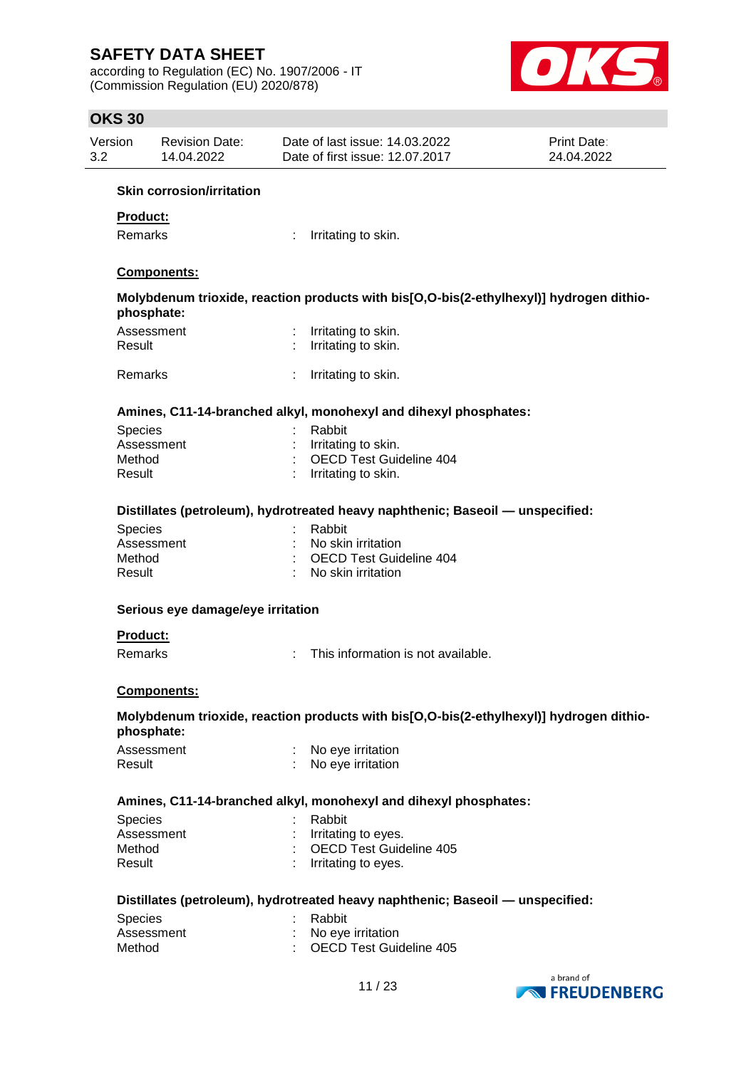according to Regulation (EC) No. 1907/2006 - IT (Commission Regulation (EU) 2020/878)



## **OKS 30**

| Version | <b>Revision Date:</b> | Date of last issue: 14.03.2022  | <b>Print Date:</b> |
|---------|-----------------------|---------------------------------|--------------------|
| 3.2     | 14.04.2022            | Date of first issue: 12.07.2017 | 24.04.2022         |

### **Skin corrosion/irritation**

### **Product:**

Remarks : Irritating to skin.

### **Components:**

**Molybdenum trioxide, reaction products with bis[O,O-bis(2-ethylhexyl)] hydrogen dithiophosphate:**

| Assessment<br>Result | Irritating to skin.<br>: Irritating to skin. |
|----------------------|----------------------------------------------|
| Remarks              | Irritating to skin.                          |

### **Amines, C11-14-branched alkyl, monohexyl and dihexyl phosphates:**

| : Rabbit                  |
|---------------------------|
| : Irritating to skin.     |
| : OECD Test Guideline 404 |
| : Irritating to skin.     |
|                           |

### **Distillates (petroleum), hydrotreated heavy naphthenic; Baseoil — unspecified:**

| : Rabbit                        |
|---------------------------------|
| : No skin irritation            |
| : OECD Test Guideline 404       |
| $\therefore$ No skin irritation |
|                                 |

### **Serious eye damage/eye irritation**

### **Product:**

Remarks : This information is not available.

### **Components:**

### **Molybdenum trioxide, reaction products with bis[O,O-bis(2-ethylhexyl)] hydrogen dithiophosphate:**

| Assessment | No eye irritation |
|------------|-------------------|
| Result     | No eye irritation |

### **Amines, C11-14-branched alkyl, monohexyl and dihexyl phosphates:**

| <b>Species</b> | : Rabbit                  |
|----------------|---------------------------|
| Assessment     | : Irritating to eyes.     |
| Method         | : OECD Test Guideline 405 |
| Result         | $:$ Irritating to eyes.   |

### **Distillates (petroleum), hydrotreated heavy naphthenic; Baseoil — unspecified:**

| <b>Species</b> | : Rabbit                  |
|----------------|---------------------------|
| Assessment     | : No eve irritation       |
| Method         | : OECD Test Guideline 405 |

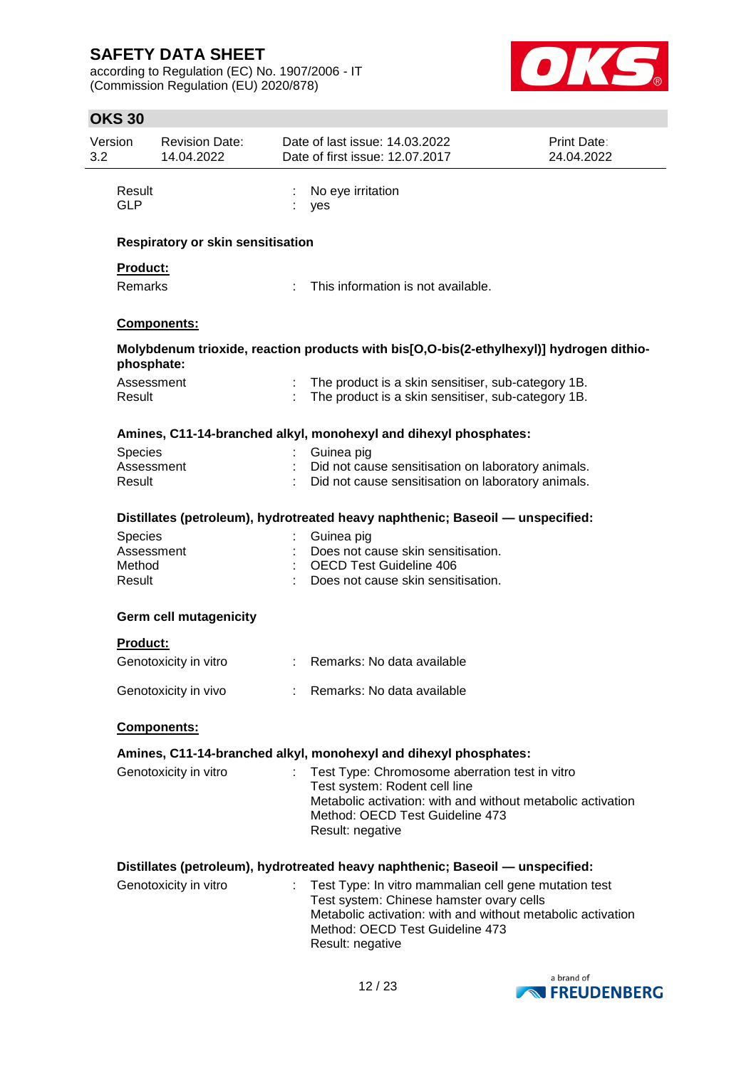according to Regulation (EC) No. 1907/2006 - IT (Commission Regulation (EU) 2020/878)



| Version<br>3.2 |                      | <b>Revision Date:</b><br>14.04.2022 | Date of last issue: 14.03.2022<br>Date of first issue: 12.07.2017                                        | Print Date:<br>24.04.2022 |
|----------------|----------------------|-------------------------------------|----------------------------------------------------------------------------------------------------------|---------------------------|
|                | Result<br><b>GLP</b> |                                     | No eye irritation<br>yes                                                                                 |                           |
|                |                      | Respiratory or skin sensitisation   |                                                                                                          |                           |
|                | Product:             |                                     |                                                                                                          |                           |
|                | <b>Remarks</b>       |                                     | This information is not available.                                                                       |                           |
|                |                      | Components:                         |                                                                                                          |                           |
|                | phosphate:           |                                     | Molybdenum trioxide, reaction products with bis[O,O-bis(2-ethylhexyl)] hydrogen dithio-                  |                           |
|                | Assessment<br>Result |                                     | The product is a skin sensitiser, sub-category 1B.<br>The product is a skin sensitiser, sub-category 1B. |                           |
|                |                      |                                     | Amines, C11-14-branched alkyl, monohexyl and dihexyl phosphates:                                         |                           |
|                | Species              |                                     | Guinea pig                                                                                               |                           |
|                | Assessment           |                                     | Did not cause sensitisation on laboratory animals.                                                       |                           |
|                | Result               |                                     | Did not cause sensitisation on laboratory animals.                                                       |                           |
|                |                      |                                     | Distillates (petroleum), hydrotreated heavy naphthenic; Baseoil — unspecified:                           |                           |
|                | Species              |                                     | Guinea pig                                                                                               |                           |
|                | Assessment           |                                     | Does not cause skin sensitisation.                                                                       |                           |
|                | Method               |                                     | <b>OECD Test Guideline 406</b>                                                                           |                           |
|                | Result               |                                     | Does not cause skin sensitisation.                                                                       |                           |
|                |                      | <b>Germ cell mutagenicity</b>       |                                                                                                          |                           |
|                | <b>Product:</b>      |                                     |                                                                                                          |                           |
|                |                      | Genotoxicity in vitro               | : Remarks: No data available                                                                             |                           |
|                |                      | Genotoxicity in vivo                | Remarks: No data available                                                                               |                           |
|                |                      | Components:                         |                                                                                                          |                           |
|                |                      |                                     | Amines, C11-14-branched alkyl, monohexyl and dihexyl phosphates:                                         |                           |
|                |                      | Genotoxicity in vitro               | Test Type: Chromosome aberration test in vitro                                                           |                           |
|                |                      |                                     | Test system: Rodent cell line                                                                            |                           |
|                |                      |                                     | Metabolic activation: with and without metabolic activation                                              |                           |
|                |                      |                                     | Method: OECD Test Guideline 473<br>Result: negative                                                      |                           |
|                |                      |                                     |                                                                                                          |                           |
|                |                      |                                     | Distillates (petroleum), hydrotreated heavy naphthenic; Baseoil — unspecified:                           |                           |
|                |                      | Genotoxicity in vitro               | Test Type: In vitro mammalian cell gene mutation test                                                    |                           |
|                |                      |                                     | Test system: Chinese hamster ovary cells                                                                 |                           |
|                |                      |                                     | Metabolic activation: with and without metabolic activation<br>Method: OECD Test Guideline 473           |                           |
|                |                      |                                     | Result: negative                                                                                         |                           |
|                |                      |                                     |                                                                                                          |                           |

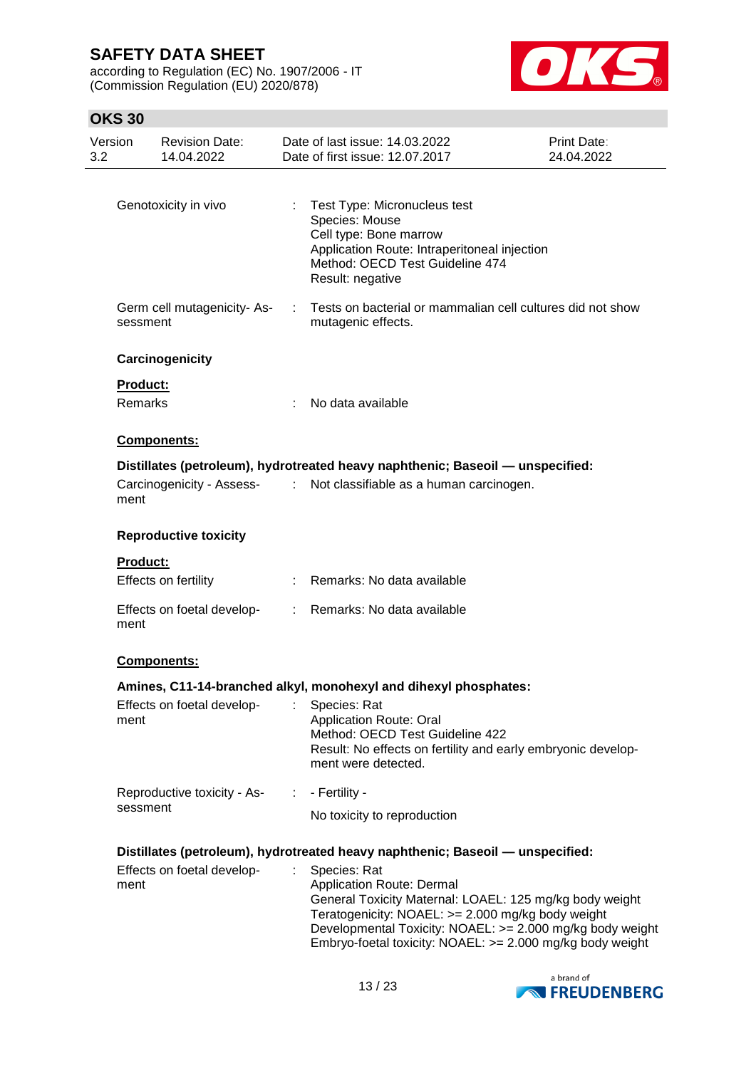according to Regulation (EC) No. 1907/2006 - IT (Commission Regulation (EU) 2020/878)



| Version<br>3.2                    | <b>Revision Date:</b><br>14.04.2022     |    | Date of last issue: 14.03.2022<br>Date of first issue: 12.07.2017                                                                                                                                                                                                                                                                                                            | Print Date:<br>24.04.2022 |
|-----------------------------------|-----------------------------------------|----|------------------------------------------------------------------------------------------------------------------------------------------------------------------------------------------------------------------------------------------------------------------------------------------------------------------------------------------------------------------------------|---------------------------|
|                                   | Genotoxicity in vivo                    |    | : Test Type: Micronucleus test<br>Species: Mouse<br>Cell type: Bone marrow<br>Application Route: Intraperitoneal injection<br>Method: OECD Test Guideline 474<br>Result: negative                                                                                                                                                                                            |                           |
|                                   | Germ cell mutagenicity-As-<br>sessment  |    | Tests on bacterial or mammalian cell cultures did not show<br>mutagenic effects.                                                                                                                                                                                                                                                                                             |                           |
|                                   | Carcinogenicity                         |    |                                                                                                                                                                                                                                                                                                                                                                              |                           |
| <b>Product:</b><br><b>Remarks</b> |                                         |    | No data available                                                                                                                                                                                                                                                                                                                                                            |                           |
|                                   | <b>Components:</b>                      |    |                                                                                                                                                                                                                                                                                                                                                                              |                           |
| ment                              | Carcinogenicity - Assess-<br>:          |    | Distillates (petroleum), hydrotreated heavy naphthenic; Baseoil - unspecified:<br>Not classifiable as a human carcinogen.                                                                                                                                                                                                                                                    |                           |
|                                   | <b>Reproductive toxicity</b>            |    |                                                                                                                                                                                                                                                                                                                                                                              |                           |
| <b>Product:</b>                   | Effects on fertility                    |    | : Remarks: No data available                                                                                                                                                                                                                                                                                                                                                 |                           |
| ment                              | Effects on foetal develop-              |    | : Remarks: No data available                                                                                                                                                                                                                                                                                                                                                 |                           |
|                                   | Components:                             |    |                                                                                                                                                                                                                                                                                                                                                                              |                           |
|                                   |                                         |    | Amines, C11-14-branched alkyl, monohexyl and dihexyl phosphates:                                                                                                                                                                                                                                                                                                             |                           |
| ment                              | Effects on foetal develop-              |    | Species: Rat<br><b>Application Route: Oral</b><br>Method: OECD Test Guideline 422<br>Result: No effects on fertility and early embryonic develop-<br>ment were detected.                                                                                                                                                                                                     |                           |
|                                   | Reproductive toxicity - As-<br>sessment | ÷. | - Fertility -                                                                                                                                                                                                                                                                                                                                                                |                           |
|                                   |                                         |    | No toxicity to reproduction                                                                                                                                                                                                                                                                                                                                                  |                           |
| ment                              | Effects on foetal develop-              |    | Distillates (petroleum), hydrotreated heavy naphthenic; Baseoil - unspecified:<br>Species: Rat<br><b>Application Route: Dermal</b><br>General Toxicity Maternal: LOAEL: 125 mg/kg body weight<br>Teratogenicity: NOAEL: >= 2.000 mg/kg body weight<br>Developmental Toxicity: NOAEL: >= 2.000 mg/kg body weight<br>Embryo-foetal toxicity: NOAEL: >= 2.000 mg/kg body weight |                           |

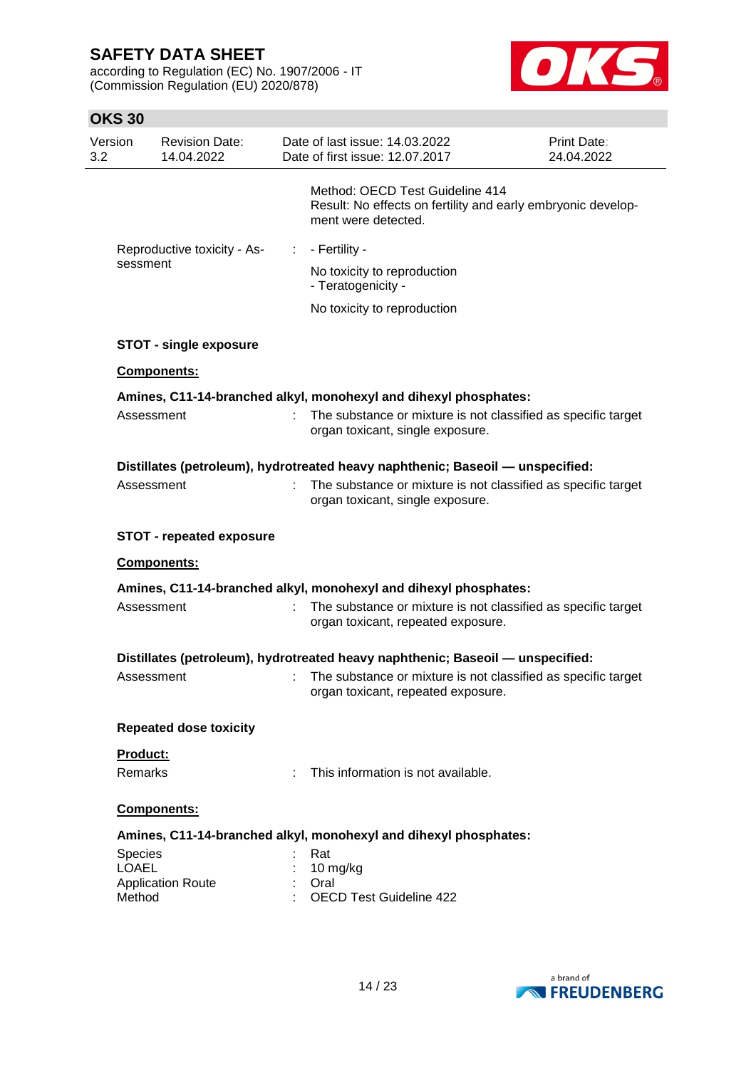according to Regulation (EC) No. 1907/2006 - IT (Commission Regulation (EU) 2020/878)



| Version<br>3.2          | <b>Revision Date:</b><br>14.04.2022 |    | Date of last issue: 14.03.2022<br>Date of first issue: 12.07.2017                                                      | Print Date:<br>24.04.2022 |
|-------------------------|-------------------------------------|----|------------------------------------------------------------------------------------------------------------------------|---------------------------|
|                         |                                     |    | Method: OECD Test Guideline 414<br>Result: No effects on fertility and early embryonic develop-<br>ment were detected. |                           |
|                         | Reproductive toxicity - As-         | ÷. | - Fertility -                                                                                                          |                           |
|                         | sessment                            |    | No toxicity to reproduction<br>- Teratogenicity -                                                                      |                           |
|                         |                                     |    | No toxicity to reproduction                                                                                            |                           |
|                         | <b>STOT - single exposure</b>       |    |                                                                                                                        |                           |
|                         | Components:                         |    |                                                                                                                        |                           |
|                         |                                     |    | Amines, C11-14-branched alkyl, monohexyl and dihexyl phosphates:                                                       |                           |
|                         | Assessment                          | t. | The substance or mixture is not classified as specific target<br>organ toxicant, single exposure.                      |                           |
|                         |                                     |    | Distillates (petroleum), hydrotreated heavy naphthenic; Baseoil — unspecified:                                         |                           |
|                         | Assessment                          |    | The substance or mixture is not classified as specific target<br>organ toxicant, single exposure.                      |                           |
|                         | <b>STOT - repeated exposure</b>     |    |                                                                                                                        |                           |
|                         | Components:                         |    |                                                                                                                        |                           |
|                         |                                     |    | Amines, C11-14-branched alkyl, monohexyl and dihexyl phosphates:                                                       |                           |
|                         | Assessment                          |    | The substance or mixture is not classified as specific target<br>organ toxicant, repeated exposure.                    |                           |
|                         |                                     |    | Distillates (petroleum), hydrotreated heavy naphthenic; Baseoil — unspecified:                                         |                           |
|                         | Assessment                          |    | The substance or mixture is not classified as specific target<br>organ toxicant, repeated exposure.                    |                           |
|                         | <b>Repeated dose toxicity</b>       |    |                                                                                                                        |                           |
|                         | <b>Product:</b>                     |    |                                                                                                                        |                           |
|                         | Remarks                             |    | This information is not available.                                                                                     |                           |
|                         | <b>Components:</b>                  |    |                                                                                                                        |                           |
|                         |                                     |    | Amines, C11-14-branched alkyl, monohexyl and dihexyl phosphates:                                                       |                           |
| Species<br><b>LOAEL</b> |                                     |    | Rat                                                                                                                    |                           |
|                         | <b>Application Route</b>            |    | 10 mg/kg<br>Oral                                                                                                       |                           |
| Method                  |                                     |    | <b>OECD Test Guideline 422</b>                                                                                         |                           |

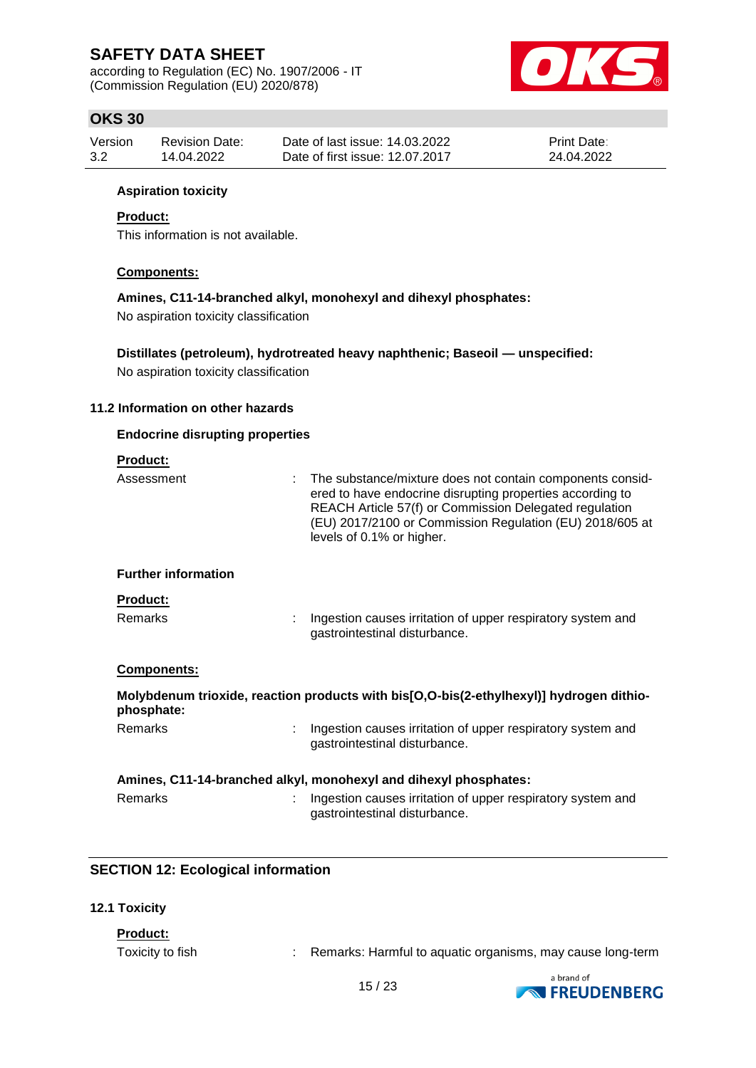according to Regulation (EC) No. 1907/2006 - IT (Commission Regulation (EU) 2020/878)



## **OKS 30**

| Version | Revision Date: | Date of last issue: 14.03.2022  | <b>Print Date:</b> |
|---------|----------------|---------------------------------|--------------------|
| 3.2     | 14.04.2022     | Date of first issue: 12.07.2017 | 24.04.2022         |

### **Aspiration toxicity**

### **Product:**

This information is not available.

### **Components:**

**Amines, C11-14-branched alkyl, monohexyl and dihexyl phosphates:**

No aspiration toxicity classification

**Distillates (petroleum), hydrotreated heavy naphthenic; Baseoil — unspecified:** No aspiration toxicity classification

### **11.2 Information on other hazards**

### **Endocrine disrupting properties**

### **Product:**

| Assessment                 | The substance/mixture does not contain components consid-<br>ered to have endocrine disrupting properties according to<br>REACH Article 57(f) or Commission Delegated regulation<br>(EU) 2017/2100 or Commission Regulation (EU) 2018/605 at<br>levels of 0.1% or higher. |
|----------------------------|---------------------------------------------------------------------------------------------------------------------------------------------------------------------------------------------------------------------------------------------------------------------------|
| <b>Further information</b> |                                                                                                                                                                                                                                                                           |
| <b>Product:</b><br>Remarks | Ingestion causes irritation of upper respiratory system and<br>gastrointestinal disturbance.                                                                                                                                                                              |
| Components:                |                                                                                                                                                                                                                                                                           |
| phosphate:                 | Molybdenum trioxide, reaction products with bis[O,O-bis(2-ethylhexyl)] hydrogen dithio-                                                                                                                                                                                   |
| <b>Remarks</b>             | Ingestion causes irritation of upper respiratory system and<br>gastrointestinal disturbance.                                                                                                                                                                              |
|                            | Amines, C11-14-branched alkyl, monohexyl and dihexyl phosphates:                                                                                                                                                                                                          |
| <b>Remarks</b>             | Ingestion causes irritation of upper respiratory system and<br>gastrointestinal disturbance.                                                                                                                                                                              |

### **SECTION 12: Ecological information**

### **12.1 Toxicity**

## **Product:**

Toxicity to fish : Remarks: Harmful to aquatic organisms, may cause long-term

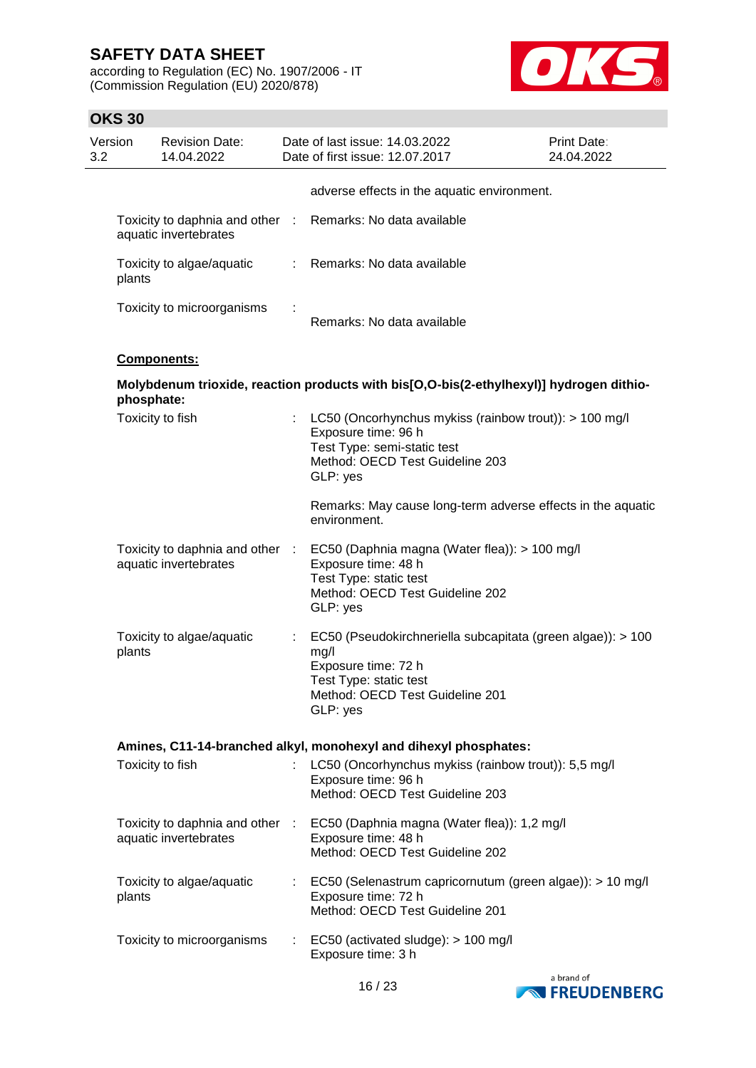according to Regulation (EC) No. 1907/2006 - IT (Commission Regulation (EU) 2020/878)



| Version<br>3.2 |            | <b>Revision Date:</b><br>14.04.2022                      |    | Date of last issue: 14.03.2022<br>Date of first issue: 12.07.2017                                                                                                   | Print Date:<br>24.04.2022 |
|----------------|------------|----------------------------------------------------------|----|---------------------------------------------------------------------------------------------------------------------------------------------------------------------|---------------------------|
|                |            |                                                          |    | adverse effects in the aquatic environment.                                                                                                                         |                           |
|                |            | aquatic invertebrates                                    |    | Toxicity to daphnia and other : Remarks: No data available                                                                                                          |                           |
|                | plants     | Toxicity to algae/aquatic                                |    | : Remarks: No data available                                                                                                                                        |                           |
|                |            | Toxicity to microorganisms                               |    | Remarks: No data available                                                                                                                                          |                           |
|                |            | Components:                                              |    |                                                                                                                                                                     |                           |
|                | phosphate: |                                                          |    | Molybdenum trioxide, reaction products with bis[O,O-bis(2-ethylhexyl)] hydrogen dithio-                                                                             |                           |
|                |            | Toxicity to fish                                         |    | LC50 (Oncorhynchus mykiss (rainbow trout)): > 100 mg/l<br>Exposure time: 96 h<br>Test Type: semi-static test<br>Method: OECD Test Guideline 203<br>GLP: yes         |                           |
|                |            |                                                          |    | Remarks: May cause long-term adverse effects in the aquatic<br>environment.                                                                                         |                           |
|                |            | Toxicity to daphnia and other :<br>aquatic invertebrates |    | EC50 (Daphnia magna (Water flea)): > 100 mg/l<br>Exposure time: 48 h<br>Test Type: static test<br>Method: OECD Test Guideline 202<br>GLP: yes                       |                           |
|                | plants     | Toxicity to algae/aquatic                                | ÷. | EC50 (Pseudokirchneriella subcapitata (green algae)): > 100<br>mg/l<br>Exposure time: 72 h<br>Test Type: static test<br>Method: OECD Test Guideline 201<br>GLP: yes |                           |
|                |            |                                                          |    | Amines, C11-14-branched alkyl, monohexyl and dihexyl phosphates:                                                                                                    |                           |
|                |            | Toxicity to fish                                         | ÷. | LC50 (Oncorhynchus mykiss (rainbow trout)): 5,5 mg/l<br>Exposure time: 96 h<br>Method: OECD Test Guideline 203                                                      |                           |
|                |            | aquatic invertebrates                                    |    | Toxicity to daphnia and other : EC50 (Daphnia magna (Water flea)): 1,2 mg/l<br>Exposure time: 48 h<br>Method: OECD Test Guideline 202                               |                           |
|                | plants     | Toxicity to algae/aquatic                                |    | : EC50 (Selenastrum capricornutum (green algae)): > 10 mg/l<br>Exposure time: 72 h<br>Method: OECD Test Guideline 201                                               |                           |
|                |            | Toxicity to microorganisms                               |    | $\therefore$ EC50 (activated sludge): $> 100$ mg/l<br>Exposure time: 3 h                                                                                            |                           |

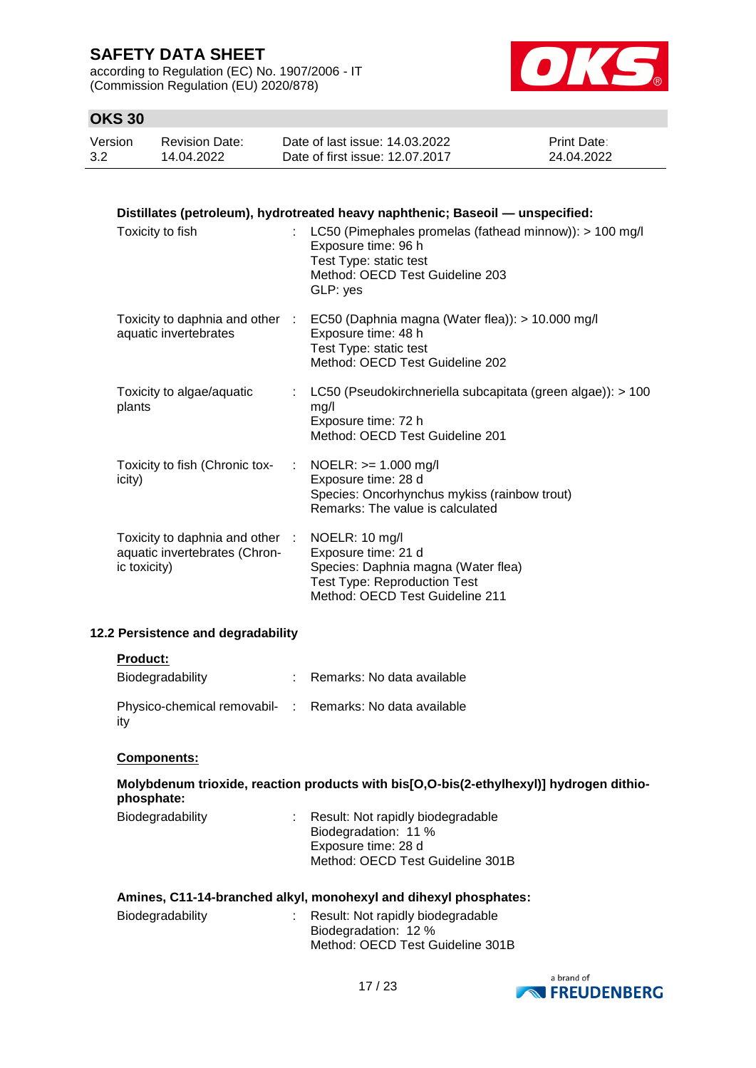according to Regulation (EC) No. 1907/2006 - IT (Commission Regulation (EU) 2020/878)



## **OKS 30**

| Version | <b>Revision Date:</b> | Date of last issue: 14.03.2022  | <b>Print Date:</b> |
|---------|-----------------------|---------------------------------|--------------------|
| 3.2     | 14.04.2022            | Date of first issue: 12.07.2017 | 24.04.2022         |

| Distillates (petroleum), hydrotreated heavy naphthenic; Baseoil — unspecified:                  |                                                                                                                                                                      |  |  |  |
|-------------------------------------------------------------------------------------------------|----------------------------------------------------------------------------------------------------------------------------------------------------------------------|--|--|--|
| Toxicity to fish                                                                                | : LC50 (Pimephales promelas (fathead minnow)): $> 100$ mg/l<br>Exposure time: 96 h<br>Test Type: static test<br>Method: OECD Test Guideline 203<br>GLP: yes          |  |  |  |
| aquatic invertebrates                                                                           | Toxicity to daphnia and other : EC50 (Daphnia magna (Water flea)): > 10.000 mg/l<br>Exposure time: 48 h<br>Test Type: static test<br>Method: OECD Test Guideline 202 |  |  |  |
| Toxicity to algae/aquatic<br>plants                                                             | : LC50 (Pseudokirchneriella subcapitata (green algae)): $> 100$<br>mg/l<br>Exposure time: 72 h<br>Method: OECD Test Guideline 201                                    |  |  |  |
| Toxicity to fish (Chronic tox-<br>icity)                                                        | : NOELR: $> = 1.000$ mg/l<br>Exposure time: 28 d<br>Species: Oncorhynchus mykiss (rainbow trout)<br>Remarks: The value is calculated                                 |  |  |  |
| Toxicity to daphnia and other : NOELR: 10 mg/l<br>aquatic invertebrates (Chron-<br>ic toxicity) | Exposure time: 21 d<br>Species: Daphnia magna (Water flea)<br><b>Test Type: Reproduction Test</b><br>Method: OECD Test Guideline 211                                 |  |  |  |

## **12.2 Persistence and degradability**

### **Product:**

| Biodegradability                                                | : Remarks: No data available |
|-----------------------------------------------------------------|------------------------------|
| Physico-chemical removabil- : Remarks: No data available<br>ity |                              |

### **Components:**

|            | Molybdenum trioxide, reaction products with bis[O,O-bis(2-ethylhexyl)] hydrogen dithio- |  |
|------------|-----------------------------------------------------------------------------------------|--|
| phosphate: |                                                                                         |  |

| Biodegradability | : Result: Not rapidly biodegradable |
|------------------|-------------------------------------|
|                  | Biodegradation: 11 %                |
|                  | Exposure time: 28 d                 |
|                  | Method: OECD Test Guideline 301B    |
|                  |                                     |

| Amines, C11-14-branched alkyl, monohexyl and dihexyl phosphates: |  |                                                                                                 |  |  |
|------------------------------------------------------------------|--|-------------------------------------------------------------------------------------------------|--|--|
| Biodegradability                                                 |  | : Result: Not rapidly biodegradable<br>Biodegradation: 12 %<br>Method: OECD Test Guideline 301B |  |  |

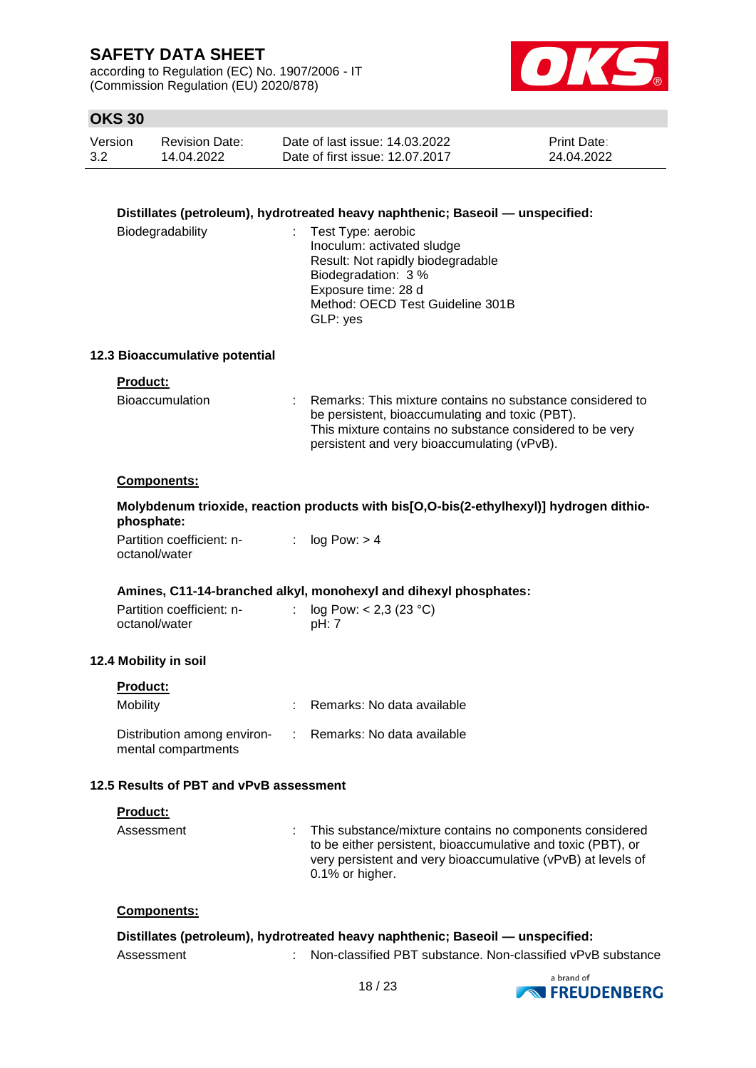according to Regulation (EC) No. 1907/2006 - IT (Commission Regulation (EU) 2020/878)



## **OKS 30**

| Version | <b>Revision Date:</b> | Date of last issue: 14.03.2022  | Print Date: |
|---------|-----------------------|---------------------------------|-------------|
| 3.2     | 14.04.2022            | Date of first issue: 12.07.2017 | 24.04.2022  |

### **Distillates (petroleum), hydrotreated heavy naphthenic; Baseoil — unspecified:**

| Biodegradability | : Test Type: aerobic              |
|------------------|-----------------------------------|
|                  | Inoculum: activated sludge        |
|                  | Result: Not rapidly biodegradable |
|                  | Biodegradation: 3 %               |
|                  | Exposure time: 28 d               |
|                  | Method: OECD Test Guideline 301B  |
|                  | GLP: yes                          |

### **12.3 Bioaccumulative potential**

### **Product:**

| <b>Bioaccumulation</b> | Remarks: This mixture contains no substance considered to<br>be persistent, bioaccumulating and toxic (PBT).<br>This mixture contains no substance considered to be very<br>persistent and very bioaccumulating (vPvB). |
|------------------------|-------------------------------------------------------------------------------------------------------------------------------------------------------------------------------------------------------------------------|
|                        |                                                                                                                                                                                                                         |

### **Components:**

|                           | Molybdenum trioxide, reaction products with bis[O,O-bis(2-ethylhexyl)] hydrogen dithio- |  |
|---------------------------|-----------------------------------------------------------------------------------------|--|
| phosphate:                |                                                                                         |  |
| Partition coefficient: n- | : $\log$ Pow: $> 4$                                                                     |  |

octanol/water

### **Amines, C11-14-branched alkyl, monohexyl and dihexyl phosphates:**

| Partition coefficient: n- | : $log Pow: < 2,3 (23 °C)$ |
|---------------------------|----------------------------|
| octanol/water             | pH: 7                      |

### **12.4 Mobility in soil**

| Product:                                           |                              |
|----------------------------------------------------|------------------------------|
| <b>Mobility</b>                                    | Remarks: No data available   |
| Distribution among environ-<br>mental compartments | : Remarks: No data available |

## **12.5 Results of PBT and vPvB assessment**

### **Product:**

| Assessment | : This substance/mixture contains no components considered<br>to be either persistent, bioaccumulative and toxic (PBT), or |                                                                                 |  |  |
|------------|----------------------------------------------------------------------------------------------------------------------------|---------------------------------------------------------------------------------|--|--|
|            |                                                                                                                            | very persistent and very bioaccumulative (vPvB) at levels of<br>0.1% or higher. |  |  |

### **Components:**

|            | Distillates (petroleum), hydrotreated heavy naphthenic; Baseoil — unspecified: |
|------------|--------------------------------------------------------------------------------|
| Assessment | Non-classified PBT substance. Non-classified vPvB substance                    |

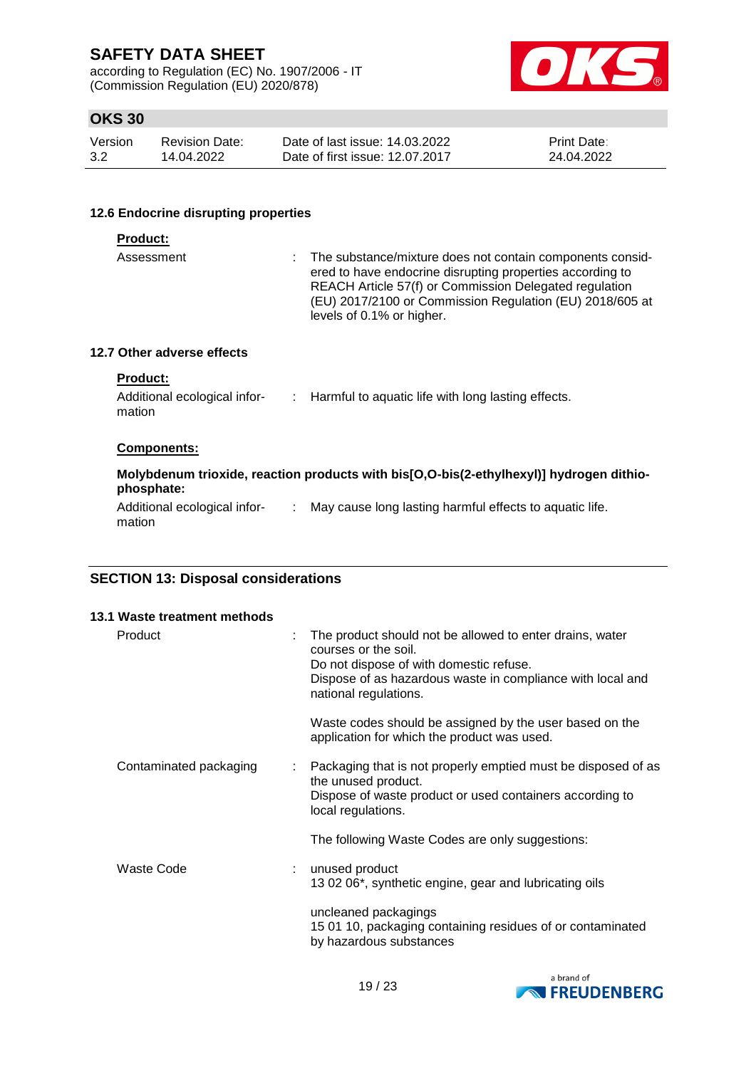according to Regulation (EC) No. 1907/2006 - IT (Commission Regulation (EU) 2020/878)



## **OKS 30**

| Version | <b>Revision Date:</b> | Date of last issue: 14.03.2022  | <b>Print Date:</b> |
|---------|-----------------------|---------------------------------|--------------------|
| 3.2     | 14.04.2022            | Date of first issue: 12.07.2017 | 24.04.2022         |

### **12.6 Endocrine disrupting properties**

| <b>Product:</b>                                           |                                                                                                                                                                                                                                                                             |
|-----------------------------------------------------------|-----------------------------------------------------------------------------------------------------------------------------------------------------------------------------------------------------------------------------------------------------------------------------|
| Assessment                                                | : The substance/mixture does not contain components consid-<br>ered to have endocrine disrupting properties according to<br>REACH Article 57(f) or Commission Delegated regulation<br>(EU) 2017/2100 or Commission Regulation (EU) 2018/605 at<br>levels of 0.1% or higher. |
| 12.7 Other adverse effects                                |                                                                                                                                                                                                                                                                             |
| <b>Product:</b><br>Additional ecological infor-<br>mation | : Harmful to aquatic life with long lasting effects.                                                                                                                                                                                                                        |
| <b>Components:</b>                                        |                                                                                                                                                                                                                                                                             |
| phosphate:                                                | Molybdenum trioxide, reaction products with bis[O,O-bis(2-ethylhexyl)] hydrogen dithio-                                                                                                                                                                                     |
| Additional ecological infor-<br>mation                    | May cause long lasting harmful effects to aquatic life.                                                                                                                                                                                                                     |

## **SECTION 13: Disposal considerations**

| 13.1 Waste treatment methods |                                                                                                                                                                                                                    |
|------------------------------|--------------------------------------------------------------------------------------------------------------------------------------------------------------------------------------------------------------------|
| Product                      | The product should not be allowed to enter drains, water<br>courses or the soil.<br>Do not dispose of with domestic refuse.<br>Dispose of as hazardous waste in compliance with local and<br>national regulations. |
|                              | Waste codes should be assigned by the user based on the<br>application for which the product was used.                                                                                                             |
| Contaminated packaging       | Packaging that is not properly emptied must be disposed of as<br>the unused product.<br>Dispose of waste product or used containers according to<br>local regulations.                                             |
|                              | The following Waste Codes are only suggestions:                                                                                                                                                                    |
| Waste Code                   | unused product<br>13 02 06*, synthetic engine, gear and lubricating oils                                                                                                                                           |
|                              | uncleaned packagings<br>15 01 10, packaging containing residues of or contaminated<br>by hazardous substances                                                                                                      |

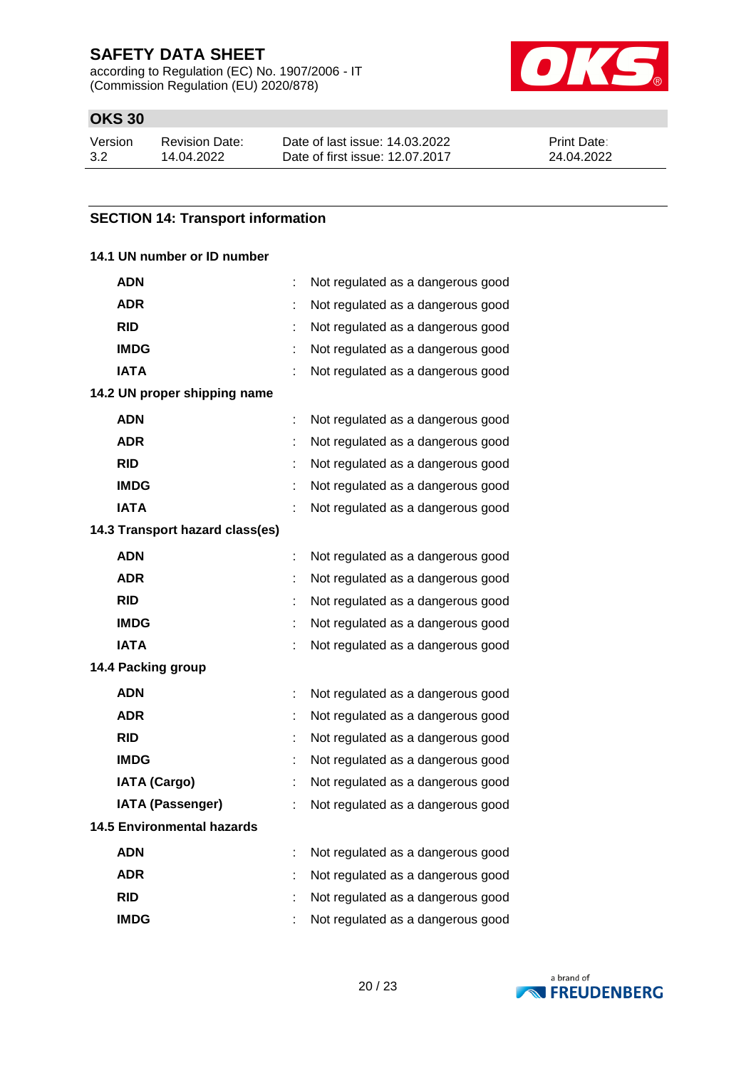according to Regulation (EC) No. 1907/2006 - IT (Commission Regulation (EU) 2020/878)



## **OKS 30**

| Version | Revision Date: | Date of last issue: 14.03.2022  | <b>Print Date:</b> |
|---------|----------------|---------------------------------|--------------------|
| 3.2     | 14.04.2022     | Date of first issue: 12.07.2017 | 24.04.2022         |

### **SECTION 14: Transport information**

### **14.1 UN number or ID number**

| ADN                               |   | Not regulated as a dangerous good |  |
|-----------------------------------|---|-----------------------------------|--|
| <b>ADR</b>                        |   | Not regulated as a dangerous good |  |
| <b>RID</b>                        | ÷ | Not regulated as a dangerous good |  |
| <b>IMDG</b>                       | ÷ | Not regulated as a dangerous good |  |
| <b>IATA</b>                       |   | Not regulated as a dangerous good |  |
| 14.2 UN proper shipping name      |   |                                   |  |
| ADN                               | ÷ | Not regulated as a dangerous good |  |
| <b>ADR</b>                        | t | Not regulated as a dangerous good |  |
| <b>RID</b>                        |   | Not regulated as a dangerous good |  |
| <b>IMDG</b>                       |   | Not regulated as a dangerous good |  |
| <b>IATA</b>                       |   | Not regulated as a dangerous good |  |
| 14.3 Transport hazard class(es)   |   |                                   |  |
| <b>ADN</b>                        | t | Not regulated as a dangerous good |  |
| ADR                               |   | Not regulated as a dangerous good |  |
| <b>RID</b>                        | ÷ | Not regulated as a dangerous good |  |
| <b>IMDG</b>                       | ÷ | Not regulated as a dangerous good |  |
| <b>IATA</b>                       | t | Not regulated as a dangerous good |  |
| 14.4 Packing group                |   |                                   |  |
| ADN                               | ÷ | Not regulated as a dangerous good |  |
| ADR                               | ÷ | Not regulated as a dangerous good |  |
| <b>RID</b>                        |   | Not regulated as a dangerous good |  |
| <b>IMDG</b>                       |   | Not regulated as a dangerous good |  |
| <b>IATA (Cargo)</b>               |   | Not regulated as a dangerous good |  |
| <b>IATA (Passenger)</b>           | ÷ | Not regulated as a dangerous good |  |
| <b>14.5 Environmental hazards</b> |   |                                   |  |
| ADN                               |   | Not regulated as a dangerous good |  |
| ADR                               |   | Not regulated as a dangerous good |  |
| <b>RID</b>                        |   | Not regulated as a dangerous good |  |
| <b>IMDG</b>                       | t | Not regulated as a dangerous good |  |

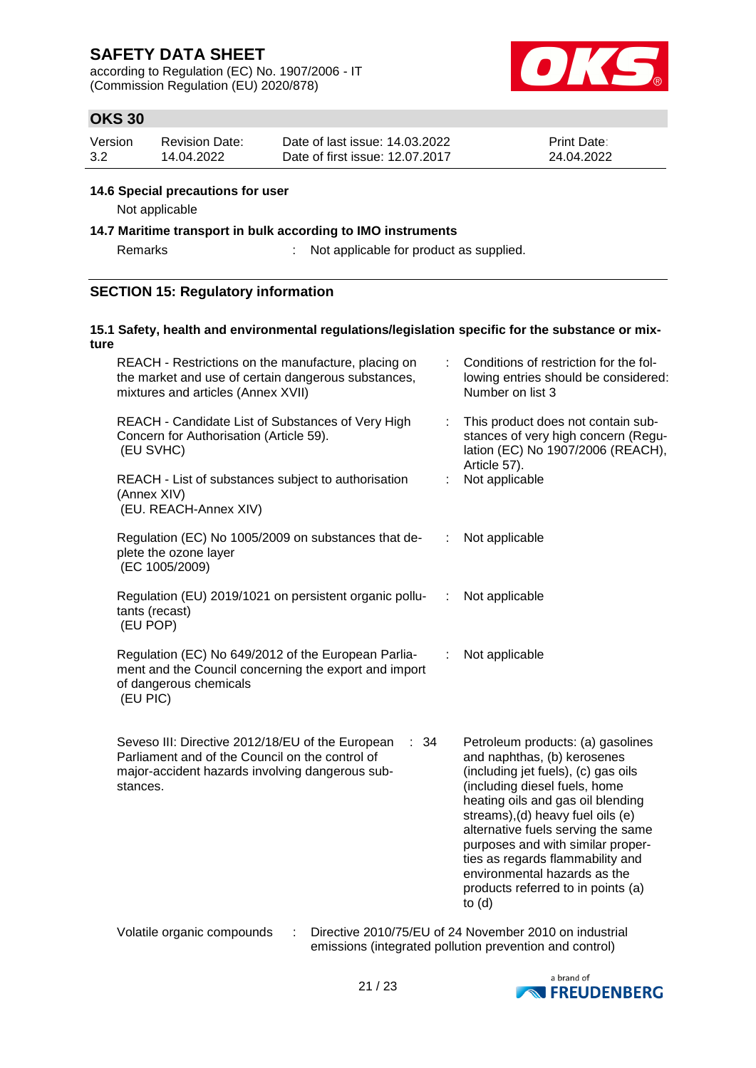according to Regulation (EC) No. 1907/2006 - IT (Commission Regulation (EU) 2020/878)



## **OKS 30**

| Version | <b>Revision Date:</b> | Date of last issue: 14.03.2022  | <b>Print Date:</b> |
|---------|-----------------------|---------------------------------|--------------------|
| 3.2     | 14.04.2022            | Date of first issue: 12.07.2017 | 24.04.2022         |

### **14.6 Special precautions for user**

Not applicable

### **14.7 Maritime transport in bulk according to IMO instruments**

Remarks : Not applicable for product as supplied.

## **SECTION 15: Regulatory information**

### **15.1 Safety, health and environmental regulations/legislation specific for the substance or mixture**

| REACH - Restrictions on the manufacture, placing on<br>the market and use of certain dangerous substances,<br>mixtures and articles (Annex XVII)                           |    | Conditions of restriction for the fol-<br>lowing entries should be considered:<br>Number on list 3                                                                                                                                                                                                                                                                                                                  |
|----------------------------------------------------------------------------------------------------------------------------------------------------------------------------|----|---------------------------------------------------------------------------------------------------------------------------------------------------------------------------------------------------------------------------------------------------------------------------------------------------------------------------------------------------------------------------------------------------------------------|
| REACH - Candidate List of Substances of Very High<br>Concern for Authorisation (Article 59).<br>(EU SVHC)                                                                  | t. | This product does not contain sub-<br>stances of very high concern (Regu-<br>lation (EC) No 1907/2006 (REACH),<br>Article 57).                                                                                                                                                                                                                                                                                      |
| REACH - List of substances subject to authorisation<br>(Annex XIV)<br>(EU. REACH-Annex XIV)                                                                                |    | Not applicable                                                                                                                                                                                                                                                                                                                                                                                                      |
| Regulation (EC) No 1005/2009 on substances that de-<br>plete the ozone layer<br>(EC 1005/2009)                                                                             |    | Not applicable                                                                                                                                                                                                                                                                                                                                                                                                      |
| Regulation (EU) 2019/1021 on persistent organic pollu-<br>tants (recast)<br>(EU POP)                                                                                       | ÷  | Not applicable                                                                                                                                                                                                                                                                                                                                                                                                      |
| Regulation (EC) No 649/2012 of the European Parlia-<br>ment and the Council concerning the export and import<br>of dangerous chemicals<br>(EU PIC)                         | ÷  | Not applicable                                                                                                                                                                                                                                                                                                                                                                                                      |
| Seveso III: Directive 2012/18/EU of the European<br>: 34<br>Parliament and of the Council on the control of<br>major-accident hazards involving dangerous sub-<br>stances. |    | Petroleum products: (a) gasolines<br>and naphthas, (b) kerosenes<br>(including jet fuels), (c) gas oils<br>(including diesel fuels, home<br>heating oils and gas oil blending<br>streams), (d) heavy fuel oils (e)<br>alternative fuels serving the same<br>purposes and with similar proper-<br>ties as regards flammability and<br>environmental hazards as the<br>products referred to in points (a)<br>to $(d)$ |
| Volatile organic compounds<br>÷                                                                                                                                            |    | Directive 2010/75/EU of 24 November 2010 on industrial<br>emissions (integrated pollution prevention and control)                                                                                                                                                                                                                                                                                                   |

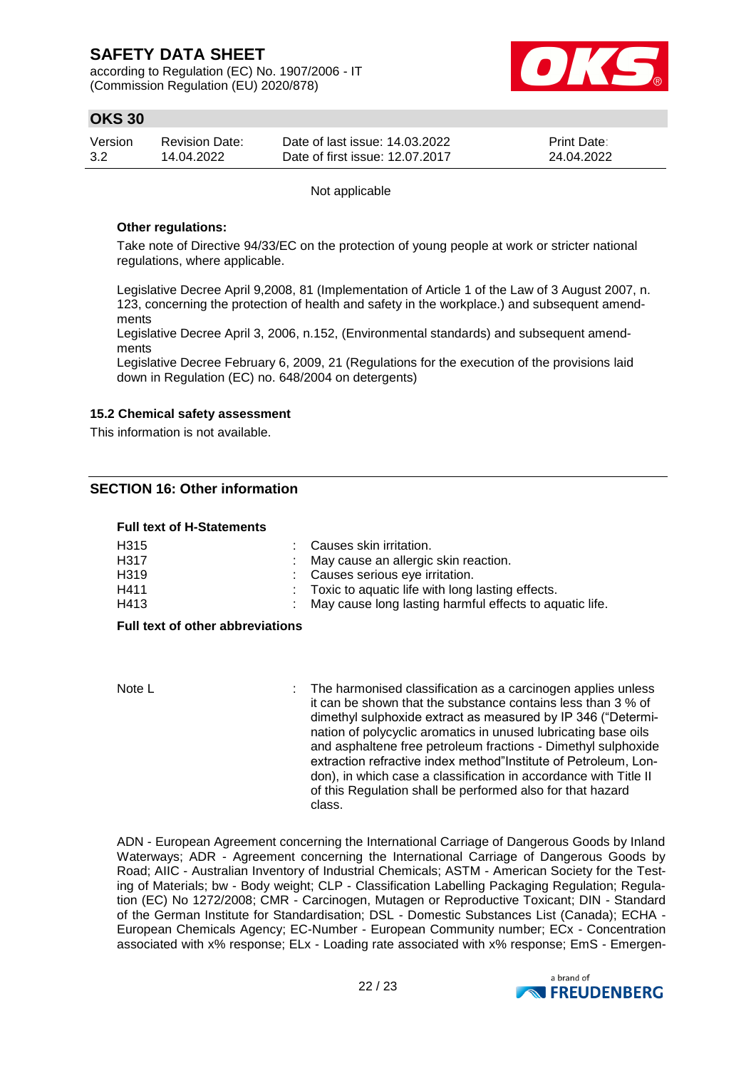according to Regulation (EC) No. 1907/2006 - IT (Commission Regulation (EU) 2020/878)



## **OKS 30**

| Version | <b>Revision Date:</b> | Date of last issue: 14.03.2022  | <b>Print Date:</b> |
|---------|-----------------------|---------------------------------|--------------------|
| 3.2     | 14.04.2022            | Date of first issue: 12.07.2017 | 24.04.2022         |

Not applicable

### **Other regulations:**

Take note of Directive 94/33/EC on the protection of young people at work or stricter national regulations, where applicable.

Legislative Decree April 9,2008, 81 (Implementation of Article 1 of the Law of 3 August 2007, n. 123, concerning the protection of health and safety in the workplace.) and subsequent amendments

Legislative Decree April 3, 2006, n.152, (Environmental standards) and subsequent amendments

Legislative Decree February 6, 2009, 21 (Regulations for the execution of the provisions laid down in Regulation (EC) no. 648/2004 on detergents)

### **15.2 Chemical safety assessment**

This information is not available.

### **SECTION 16: Other information**

### **Full text of H-Statements**

| H <sub>315</sub> | : Causes skin irritation.                                 |
|------------------|-----------------------------------------------------------|
| H317             | : May cause an allergic skin reaction.                    |
| H <sub>319</sub> | : Causes serious eye irritation.                          |
| H411             | : Toxic to aquatic life with long lasting effects.        |
| H413             | : May cause long lasting harmful effects to aquatic life. |

### **Full text of other abbreviations**

Note L **Interpreteral Contract Contract Contract** : The harmonised classification as a carcinogen applies unless it can be shown that the substance contains less than 3 % of dimethyl sulphoxide extract as measured by IP 346 ("Determination of polycyclic aromatics in unused lubricating base oils and asphaltene free petroleum fractions - Dimethyl sulphoxide extraction refractive index method"Institute of Petroleum, London), in which case a classification in accordance with Title II of this Regulation shall be performed also for that hazard class.

ADN - European Agreement concerning the International Carriage of Dangerous Goods by Inland Waterways; ADR - Agreement concerning the International Carriage of Dangerous Goods by Road; AIIC - Australian Inventory of Industrial Chemicals; ASTM - American Society for the Testing of Materials; bw - Body weight; CLP - Classification Labelling Packaging Regulation; Regulation (EC) No 1272/2008; CMR - Carcinogen, Mutagen or Reproductive Toxicant; DIN - Standard of the German Institute for Standardisation; DSL - Domestic Substances List (Canada); ECHA - European Chemicals Agency; EC-Number - European Community number; ECx - Concentration associated with x% response; ELx - Loading rate associated with x% response; EmS - Emergen-